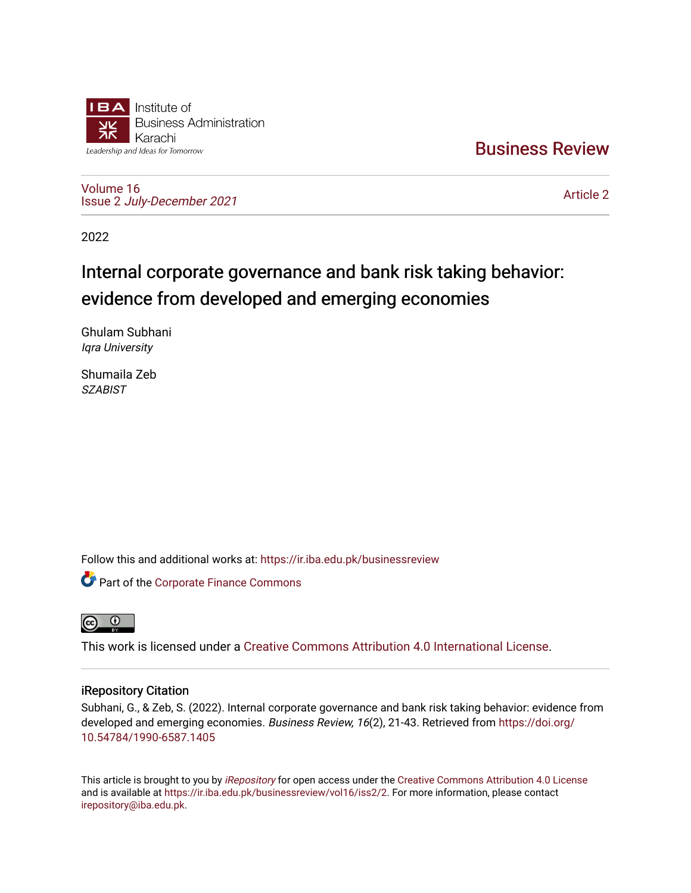

[Business Review](https://ir.iba.edu.pk/businessreview) 

[Volume 16](https://ir.iba.edu.pk/businessreview/vol16) Issue 2 [July-December 2021](https://ir.iba.edu.pk/businessreview/vol16/iss2)

[Article 2](https://ir.iba.edu.pk/businessreview/vol16/iss2/2) 

2022

# Internal corporate governance and bank risk taking behavior: evidence from developed and emerging economies

Ghulam Subhani Iqra University

Shumaila Zeb **SZABIST** 

Follow this and additional works at: [https://ir.iba.edu.pk/businessreview](https://ir.iba.edu.pk/businessreview?utm_source=ir.iba.edu.pk%2Fbusinessreview%2Fvol16%2Fiss2%2F2&utm_medium=PDF&utm_campaign=PDFCoverPages) 

**C** Part of the [Corporate Finance Commons](http://network.bepress.com/hgg/discipline/629?utm_source=ir.iba.edu.pk%2Fbusinessreview%2Fvol16%2Fiss2%2F2&utm_medium=PDF&utm_campaign=PDFCoverPages)



This work is licensed under a [Creative Commons Attribution 4.0 International License](https://creativecommons.org/licenses/by/4.0/).

# iRepository Citation

Subhani, G., & Zeb, S. (2022). Internal corporate governance and bank risk taking behavior: evidence from developed and emerging economies. Business Review, 16(2), 21-43. Retrieved from [https://doi.org/](https://doi.org/10.54784/1990-6587.1405) [10.54784/1990-6587.1405](https://doi.org/10.54784/1990-6587.1405) 

This article is brought to you by *[iRepository](https://ir.iba.edu.pk/)* for open access under the Creative Commons Attribution 4.0 License and is available at [https://ir.iba.edu.pk/businessreview/vol16/iss2/2.](https://ir.iba.edu.pk/businessreview/vol16/iss2/2) For more information, please contact [irepository@iba.edu.pk.](mailto:irepository@iba.edu.pk)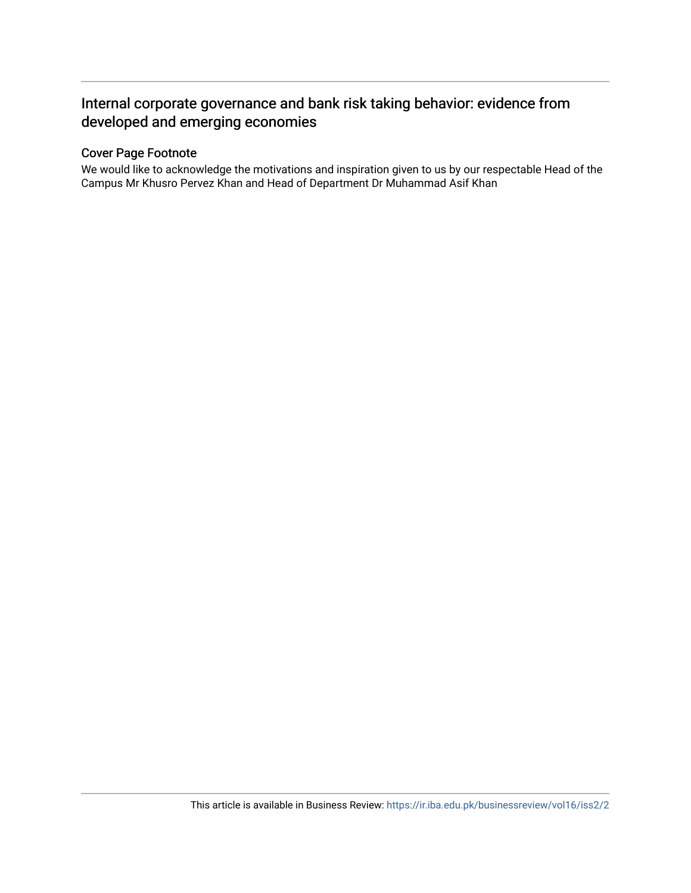# Internal corporate governance and bank risk taking behavior: evidence from developed and emerging economies

# Cover Page Footnote

We would like to acknowledge the motivations and inspiration given to us by our respectable Head of the Campus Mr Khusro Pervez Khan and Head of Department Dr Muhammad Asif Khan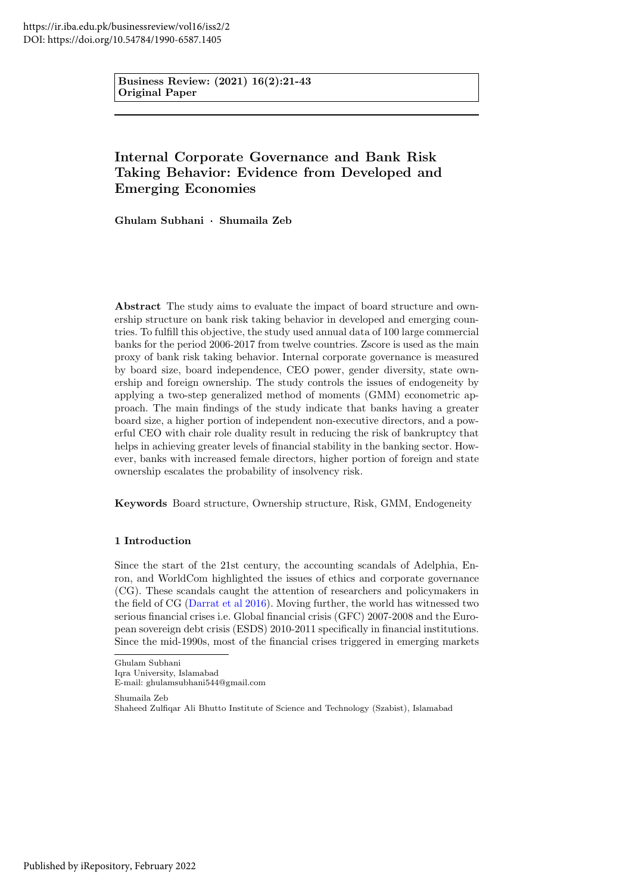Business Review: (2021) 16(2):21-43 Original Paper

# Internal Corporate Governance and Bank Risk Taking Behavior: Evidence from Developed and Emerging Economies

Ghulam Subhani · Shumaila Zeb

Abstract The study aims to evaluate the impact of board structure and ownership structure on bank risk taking behavior in developed and emerging countries. To fulfill this objective, the study used annual data of 100 large commercial banks for the period 2006-2017 from twelve countries. Zscore is used as the main proxy of bank risk taking behavior. Internal corporate governance is measured by board size, board independence, CEO power, gender diversity, state ownership and foreign ownership. The study controls the issues of endogeneity by applying a two-step generalized method of moments (GMM) econometric approach. The main findings of the study indicate that banks having a greater board size, a higher portion of independent non-executive directors, and a powerful CEO with chair role duality result in reducing the risk of bankruptcy that helps in achieving greater levels of financial stability in the banking sector. However, banks with increased female directors, higher portion of foreign and state ownership escalates the probability of insolvency risk.

Keywords Board structure, Ownership structure, Risk, GMM, Endogeneity

# 1 Introduction

Since the start of the 21st century, the accounting scandals of Adelphia, Enron, and WorldCom highlighted the issues of ethics and corporate governance (CG). These scandals caught the attention of researchers and policymakers in the field of CG [\(Darrat et al 2016\)](#page-20-0). Moving further, the world has witnessed two serious financial crises i.e. Global financial crisis (GFC) 2007-2008 and the European sovereign debt crisis (ESDS) 2010-2011 specifically in financial institutions. Since the mid-1990s, most of the financial crises triggered in emerging markets

Shumaila Zeb Shaheed Zulfiqar Ali Bhutto Institute of Science and Technology (Szabist), Islamabad

Ghulam Subhani Iqra University, Islamabad

E-mail: ghulamsubhani544@gmail.com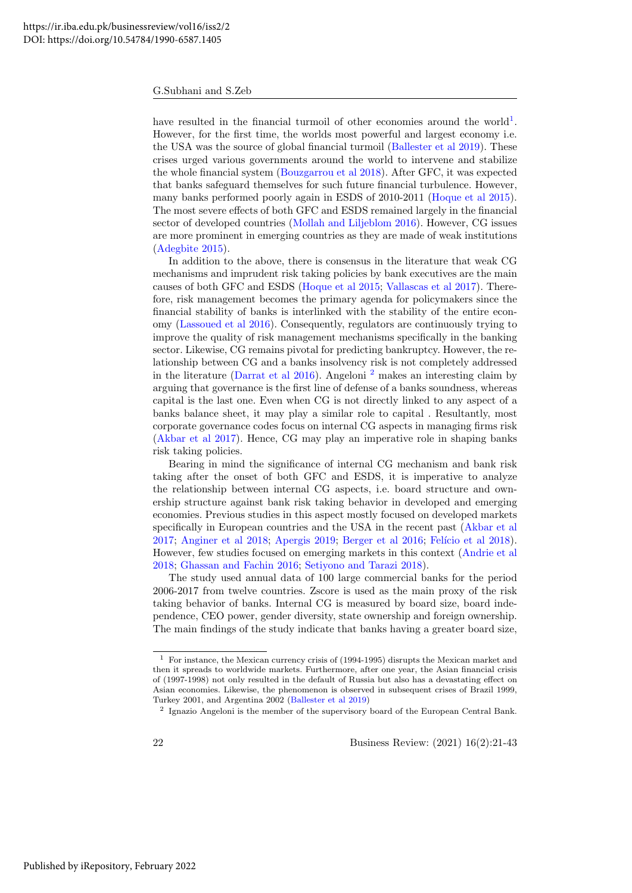have resulted in the financial turmoil of other economies around the world<sup>[1](#page-3-0)</sup>. However, for the first time, the worlds most powerful and largest economy i.e. the USA was the source of global financial turmoil [\(Ballester et al 2019\)](#page-20-1). These crises urged various governments around the world to intervene and stabilize the whole financial system [\(Bouzgarrou et al 2018\)](#page-20-2). After GFC, it was expected that banks safeguard themselves for such future financial turbulence. However, many banks performed poorly again in ESDS of 2010-2011 [\(Hoque et al 2015\)](#page-21-0). The most severe effects of both GFC and ESDS remained largely in the financial sector of developed countries [\(Mollah and Liljeblom 2016\)](#page-21-1). However, CG issues are more prominent in emerging countries as they are made of weak institutions [\(Adegbite 2015\)](#page-19-0).

In addition to the above, there is consensus in the literature that weak CG mechanisms and imprudent risk taking policies by bank executives are the main causes of both GFC and ESDS [\(Hoque et al 2015;](#page-21-0) [Vallascas et al 2017\)](#page-22-0). Therefore, risk management becomes the primary agenda for policymakers since the financial stability of banks is interlinked with the stability of the entire economy [\(Lassoued et al 2016\)](#page-21-2). Consequently, regulators are continuously trying to improve the quality of risk management mechanisms specifically in the banking sector. Likewise, CG remains pivotal for predicting bankruptcy. However, the relationship between CG and a banks insolvency risk is not completely addressed in the literature [\(Darrat et al 2016\)](#page-20-0). Angeloni [2](#page-3-1) makes an interesting claim by arguing that governance is the first line of defense of a banks soundness, whereas capital is the last one. Even when CG is not directly linked to any aspect of a banks balance sheet, it may play a similar role to capital . Resultantly, most corporate governance codes focus on internal CG aspects in managing firms risk [\(Akbar et al 2017\)](#page-19-1). Hence, CG may play an imperative role in shaping banks risk taking policies.

Bearing in mind the significance of internal CG mechanism and bank risk taking after the onset of both GFC and ESDS, it is imperative to analyze the relationship between internal CG aspects, i.e. board structure and ownership structure against bank risk taking behavior in developed and emerging economies. Previous studies in this aspect mostly focused on developed markets specifically in European countries and the USA in the recent past [\(Akbar et al](#page-19-1) [2017;](#page-19-1) [Anginer et al 2018;](#page-20-3) [Apergis 2019;](#page-20-4) [Berger et al 2016;](#page-20-5) Felício et al 2018). However, few studies focused on emerging markets in this context [\(Andrie et al](#page-19-2) [2018;](#page-19-2) [Ghassan and Fachin 2016;](#page-21-4) [Setiyono and Tarazi 2018\)](#page-22-1).

The study used annual data of 100 large commercial banks for the period 2006-2017 from twelve countries. Zscore is used as the main proxy of the risk taking behavior of banks. Internal CG is measured by board size, board independence, CEO power, gender diversity, state ownership and foreign ownership. The main findings of the study indicate that banks having a greater board size,

<span id="page-3-0"></span> $1$  For instance, the Mexican currency crisis of (1994-1995) disrupts the Mexican market and then it spreads to worldwide markets. Furthermore, after one year, the Asian financial crisis of (1997-1998) not only resulted in the default of Russia but also has a devastating effect on Asian economies. Likewise, the phenomenon is observed in subsequent crises of Brazil 1999, Turkey 2001, and Argentina 2002 [\(Ballester et al 2019\)](#page-20-1)

<span id="page-3-1"></span><sup>&</sup>lt;sup>2</sup> Ignazio Angeloni is the member of the supervisory board of the European Central Bank.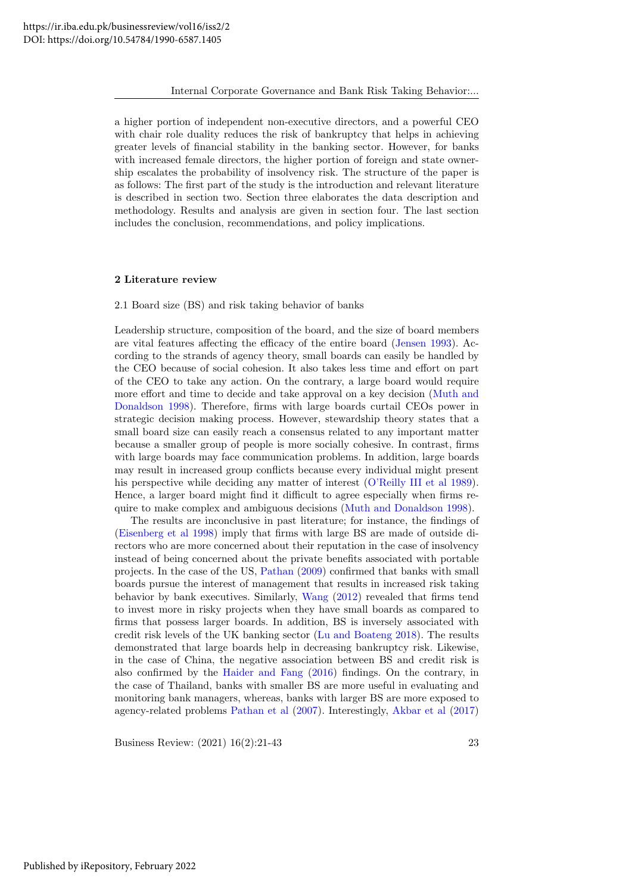a higher portion of independent non-executive directors, and a powerful CEO with chair role duality reduces the risk of bankruptcy that helps in achieving greater levels of financial stability in the banking sector. However, for banks with increased female directors, the higher portion of foreign and state ownership escalates the probability of insolvency risk. The structure of the paper is as follows: The first part of the study is the introduction and relevant literature is described in section two. Section three elaborates the data description and methodology. Results and analysis are given in section four. The last section includes the conclusion, recommendations, and policy implications.

#### 2 Literature review

2.1 Board size (BS) and risk taking behavior of banks

Leadership structure, composition of the board, and the size of board members are vital features affecting the efficacy of the entire board [\(Jensen 1993\)](#page-21-5). According to the strands of agency theory, small boards can easily be handled by the CEO because of social cohesion. It also takes less time and effort on part of the CEO to take any action. On the contrary, a large board would require more effort and time to decide and take approval on a key decision [\(Muth and](#page-21-6) [Donaldson 1998\)](#page-21-6). Therefore, firms with large boards curtail CEOs power in strategic decision making process. However, stewardship theory states that a small board size can easily reach a consensus related to any important matter because a smaller group of people is more socially cohesive. In contrast, firms with large boards may face communication problems. In addition, large boards may result in increased group conflicts because every individual might present his perspective while deciding any matter of interest [\(O'Reilly III et al 1989\)](#page-21-7). Hence, a larger board might find it difficult to agree especially when firms require to make complex and ambiguous decisions [\(Muth and Donaldson 1998\)](#page-21-6).

The results are inconclusive in past literature; for instance, the findings of [\(Eisenberg et al 1998\)](#page-20-6) imply that firms with large BS are made of outside directors who are more concerned about their reputation in the case of insolvency instead of being concerned about the private benefits associated with portable projects. In the case of the US, [Pathan](#page-21-8) [\(2009\)](#page-21-8) confirmed that banks with small boards pursue the interest of management that results in increased risk taking behavior by bank executives. Similarly, [Wang](#page-22-2) [\(2012\)](#page-22-2) revealed that firms tend to invest more in risky projects when they have small boards as compared to firms that possess larger boards. In addition, BS is inversely associated with credit risk levels of the UK banking sector [\(Lu and Boateng 2018\)](#page-21-9). The results demonstrated that large boards help in decreasing bankruptcy risk. Likewise, in the case of China, the negative association between BS and credit risk is also confirmed by the [Haider and Fang](#page-21-10) [\(2016\)](#page-21-10) findings. On the contrary, in the case of Thailand, banks with smaller BS are more useful in evaluating and monitoring bank managers, whereas, banks with larger BS are more exposed to agency-related problems [Pathan et al](#page-22-3) [\(2007\)](#page-22-3). Interestingly, [Akbar et al](#page-19-1) [\(2017\)](#page-19-1)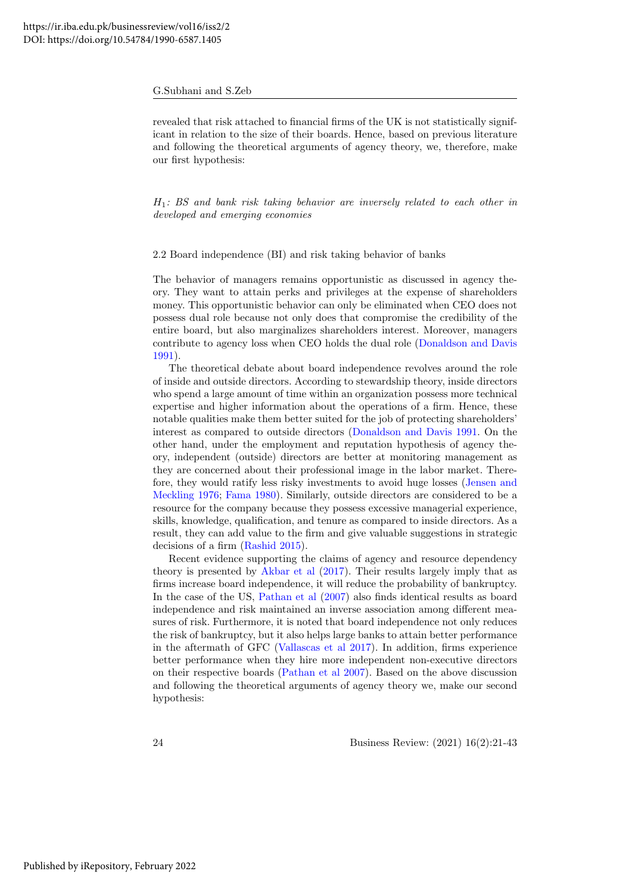revealed that risk attached to financial firms of the UK is not statistically significant in relation to the size of their boards. Hence, based on previous literature and following the theoretical arguments of agency theory, we, therefore, make our first hypothesis:

 $H_1$ : BS and bank risk taking behavior are inversely related to each other in developed and emerging economies

2.2 Board independence (BI) and risk taking behavior of banks

The behavior of managers remains opportunistic as discussed in agency theory. They want to attain perks and privileges at the expense of shareholders money. This opportunistic behavior can only be eliminated when CEO does not possess dual role because not only does that compromise the credibility of the entire board, but also marginalizes shareholders interest. Moreover, managers contribute to agency loss when CEO holds the dual role [\(Donaldson and Davis](#page-20-7) [1991\)](#page-20-7).

The theoretical debate about board independence revolves around the role of inside and outside directors. According to stewardship theory, inside directors who spend a large amount of time within an organization possess more technical expertise and higher information about the operations of a firm. Hence, these notable qualities make them better suited for the job of protecting shareholders' interest as compared to outside directors [\(Donaldson and Davis 1991.](#page-20-7) On the other hand, under the employment and reputation hypothesis of agency theory, independent (outside) directors are better at monitoring management as they are concerned about their professional image in the labor market. Therefore, they would ratify less risky investments to avoid huge losses [\(Jensen and](#page-21-11) [Meckling 1976;](#page-21-11) [Fama 1980\)](#page-20-8). Similarly, outside directors are considered to be a resource for the company because they possess excessive managerial experience, skills, knowledge, qualification, and tenure as compared to inside directors. As a result, they can add value to the firm and give valuable suggestions in strategic decisions of a firm [\(Rashid 2015\)](#page-22-4).

Recent evidence supporting the claims of agency and resource dependency theory is presented by [Akbar et al](#page-19-1) [\(2017\)](#page-19-1). Their results largely imply that as firms increase board independence, it will reduce the probability of bankruptcy. In the case of the US, [Pathan et al](#page-22-3) [\(2007\)](#page-22-3) also finds identical results as board independence and risk maintained an inverse association among different measures of risk. Furthermore, it is noted that board independence not only reduces the risk of bankruptcy, but it also helps large banks to attain better performance in the aftermath of GFC [\(Vallascas et al 2017\)](#page-22-0). In addition, firms experience better performance when they hire more independent non-executive directors on their respective boards [\(Pathan et al 2007\)](#page-22-3). Based on the above discussion and following the theoretical arguments of agency theory we, make our second hypothesis: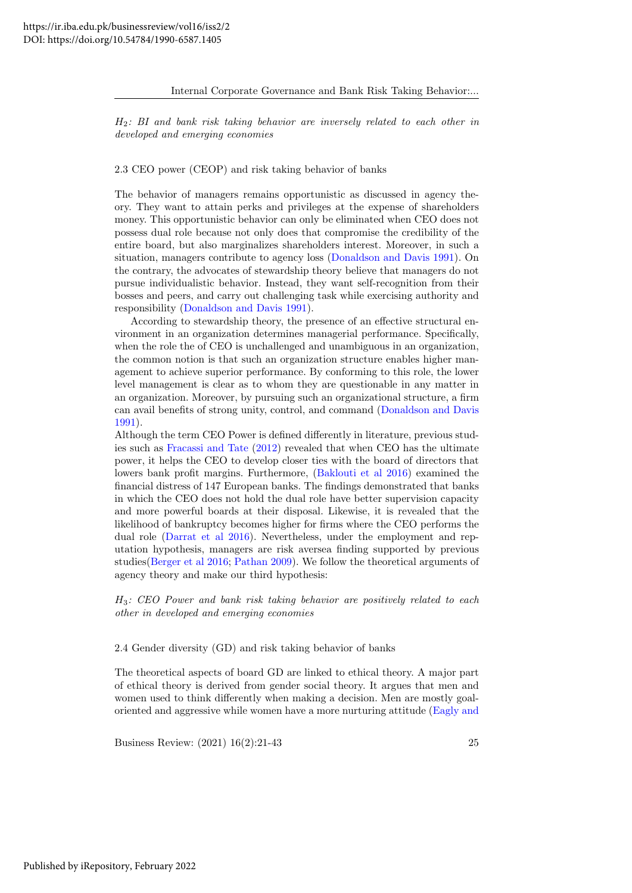$H_2$ : BI and bank risk taking behavior are inversely related to each other in developed and emerging economies

## 2.3 CEO power (CEOP) and risk taking behavior of banks

The behavior of managers remains opportunistic as discussed in agency theory. They want to attain perks and privileges at the expense of shareholders money. This opportunistic behavior can only be eliminated when CEO does not possess dual role because not only does that compromise the credibility of the entire board, but also marginalizes shareholders interest. Moreover, in such a situation, managers contribute to agency loss [\(Donaldson and Davis 1991\)](#page-20-7). On the contrary, the advocates of stewardship theory believe that managers do not pursue individualistic behavior. Instead, they want self-recognition from their bosses and peers, and carry out challenging task while exercising authority and responsibility [\(Donaldson and Davis 1991\)](#page-20-7).

According to stewardship theory, the presence of an effective structural environment in an organization determines managerial performance. Specifically, when the role the of CEO is unchallenged and unambiguous in an organization, the common notion is that such an organization structure enables higher management to achieve superior performance. By conforming to this role, the lower level management is clear as to whom they are questionable in any matter in an organization. Moreover, by pursuing such an organizational structure, a firm can avail benefits of strong unity, control, and command [\(Donaldson and Davis](#page-20-7) [1991\)](#page-20-7).

Although the term CEO Power is defined differently in literature, previous studies such as [Fracassi and Tate](#page-21-12) [\(2012\)](#page-21-12) revealed that when CEO has the ultimate power, it helps the CEO to develop closer ties with the board of directors that lowers bank profit margins. Furthermore, [\(Baklouti et al 2016\)](#page-20-9) examined the financial distress of 147 European banks. The findings demonstrated that banks in which the CEO does not hold the dual role have better supervision capacity and more powerful boards at their disposal. Likewise, it is revealed that the likelihood of bankruptcy becomes higher for firms where the CEO performs the dual role [\(Darrat et al 2016\)](#page-20-0). Nevertheless, under the employment and reputation hypothesis, managers are risk aversea finding supported by previous studies[\(Berger et al 2016;](#page-20-5) [Pathan 2009\)](#page-21-8). We follow the theoretical arguments of agency theory and make our third hypothesis:

 $H_3$ : CEO Power and bank risk taking behavior are positively related to each other in developed and emerging economies

2.4 Gender diversity (GD) and risk taking behavior of banks

The theoretical aspects of board GD are linked to ethical theory. A major part of ethical theory is derived from gender social theory. It argues that men and women used to think differently when making a decision. Men are mostly goaloriented and aggressive while women have a more nurturing attitude [\(Eagly and](#page-20-10)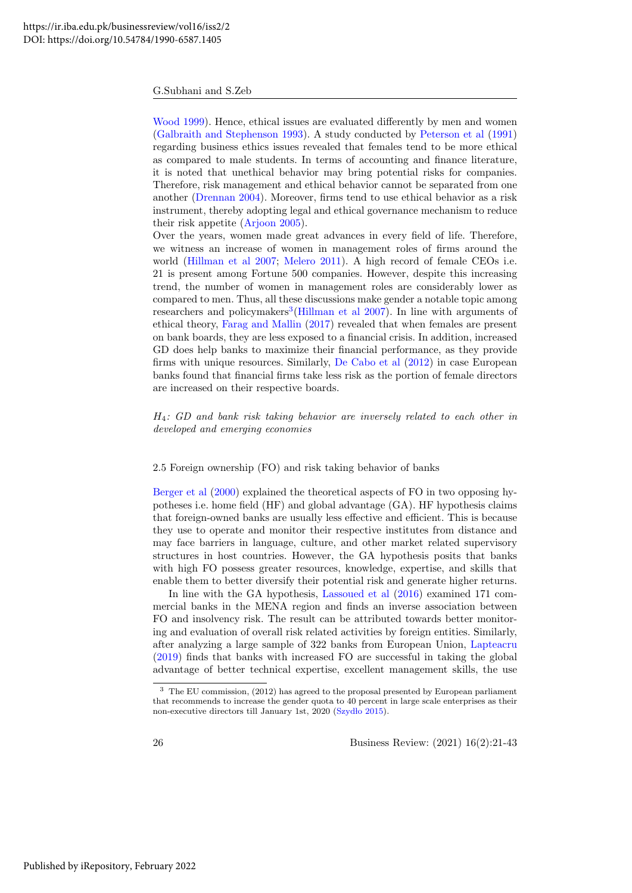[Wood 1999\)](#page-20-10). Hence, ethical issues are evaluated differently by men and women [\(Galbraith and Stephenson 1993\)](#page-21-13). A study conducted by [Peterson et al](#page-22-5) [\(1991\)](#page-22-5) regarding business ethics issues revealed that females tend to be more ethical as compared to male students. In terms of accounting and finance literature, it is noted that unethical behavior may bring potential risks for companies. Therefore, risk management and ethical behavior cannot be separated from one another [\(Drennan 2004\)](#page-20-11). Moreover, firms tend to use ethical behavior as a risk instrument, thereby adopting legal and ethical governance mechanism to reduce their risk appetite [\(Arjoon 2005\)](#page-20-12).

Over the years, women made great advances in every field of life. Therefore, we witness an increase of women in management roles of firms around the world [\(Hillman et al 2007;](#page-21-14) [Melero 2011\)](#page-21-15). A high record of female CEOs i.e. 21 is present among Fortune 500 companies. However, despite this increasing trend, the number of women in management roles are considerably lower as compared to men. Thus, all these discussions make gender a notable topic among researchers and policymakers<sup>[3](#page-7-0)</sup>[\(Hillman et al 2007\)](#page-21-14). In line with arguments of ethical theory, [Farag and Mallin](#page-20-13) [\(2017\)](#page-20-13) revealed that when females are present on bank boards, they are less exposed to a financial crisis. In addition, increased GD does help banks to maximize their financial performance, as they provide firms with unique resources. Similarly, [De Cabo et al](#page-20-14) [\(2012\)](#page-20-14) in case European banks found that financial firms take less risk as the portion of female directors are increased on their respective boards.

H4: GD and bank risk taking behavior are inversely related to each other in developed and emerging economies

#### 2.5 Foreign ownership (FO) and risk taking behavior of banks

[Berger et al](#page-20-15) [\(2000\)](#page-20-15) explained the theoretical aspects of FO in two opposing hypotheses i.e. home field (HF) and global advantage (GA). HF hypothesis claims that foreign-owned banks are usually less effective and efficient. This is because they use to operate and monitor their respective institutes from distance and may face barriers in language, culture, and other market related supervisory structures in host countries. However, the GA hypothesis posits that banks with high FO possess greater resources, knowledge, expertise, and skills that enable them to better diversify their potential risk and generate higher returns.

In line with the GA hypothesis, [Lassoued et al](#page-21-2) [\(2016\)](#page-21-2) examined 171 commercial banks in the MENA region and finds an inverse association between FO and insolvency risk. The result can be attributed towards better monitoring and evaluation of overall risk related activities by foreign entities. Similarly, after analyzing a large sample of 322 banks from European Union, [Lapteacru](#page-21-16) [\(2019\)](#page-21-16) finds that banks with increased FO are successful in taking the global advantage of better technical expertise, excellent management skills, the use

<span id="page-7-0"></span><sup>3</sup> The EU commission, (2012) has agreed to the proposal presented by European parliament that recommends to increase the gender quota to 40 percent in large scale enterprises as their non-executive directors till January 1st, 2020 (Szydło 2015).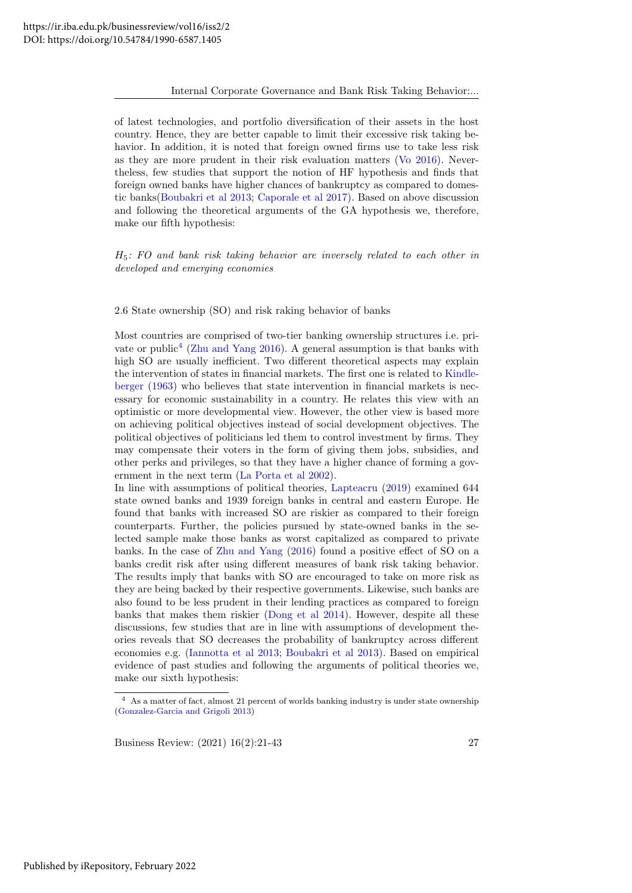of latest technologies, and portfolio diversification of their assets in the host country. Hence, they are better capable to limit their excessive risk taking behavior. In addition, it is noted that foreign owned firms use to take less risk as they are more prudent in their risk evaluation matters [\(Vo 2016\)](#page-22-7). Nevertheless, few studies that support the notion of HF hypothesis and finds that foreign owned banks have higher chances of bankruptcy as compared to domestic banks[\(Boubakri et al 2013;](#page-20-16) [Caporale et al 2017\)](#page-20-17). Based on above discussion and following the theoretical arguments of the GA hypothesis we, therefore, make our fifth hypothesis:

 $H<sub>5</sub>$ : FO and bank risk taking behavior are inversely related to each other in developed and emerging economies

2.6 State ownership (SO) and risk raking behavior of banks

Most countries are comprised of two-tier banking ownership structures i.e. pri-vate or public<sup>[4](#page-8-0)</sup> [\(Zhu and Yang 2016\)](#page-22-8). A general assumption is that banks with high SO are usually inefficient. Two different theoretical aspects may explain the intervention of states in financial markets. The first one is related to [Kindle](#page-21-17)[berger](#page-21-17) [\(1963\)](#page-21-17) who believes that state intervention in financial markets is necessary for economic sustainability in a country. He relates this view with an optimistic or more developmental view. However, the other view is based more on achieving political objectives instead of social development objectives. The political objectives of politicians led them to control investment by firms. They may compensate their voters in the form of giving them jobs, subsidies, and other perks and privileges, so that they have a higher chance of forming a government in the next term [\(La Porta et al 2002\)](#page-21-18).

In line with assumptions of political theories, [Lapteacru](#page-21-16) [\(2019\)](#page-21-16) examined 644 state owned banks and 1939 foreign banks in central and eastern Europe. He found that banks with increased SO are riskier as compared to their foreign counterparts. Further, the policies pursued by state-owned banks in the selected sample make those banks as worst capitalized as compared to private banks. In the case of [Zhu and Yang](#page-22-8) [\(2016\)](#page-22-8) found a positive effect of SO on a banks credit risk after using different measures of bank risk taking behavior. The results imply that banks with SO are encouraged to take on more risk as they are being backed by their respective governments. Likewise, such banks are also found to be less prudent in their lending practices as compared to foreign banks that makes them riskier [\(Dong et al 2014\)](#page-20-18). However, despite all these discussions, few studies that are in line with assumptions of development theories reveals that SO decreases the probability of bankruptcy across different economies e.g. [\(Iannotta et al 2013;](#page-21-19) [Boubakri et al 2013\)](#page-20-16). Based on empirical evidence of past studies and following the arguments of political theories we, make our sixth hypothesis:

<span id="page-8-0"></span> $^4\;$  As a matter of fact, almost 21 percent of worlds banking industry is under state ownership [\(Gonzalez-Garcia and Grigoli 2013\)](#page-21-20)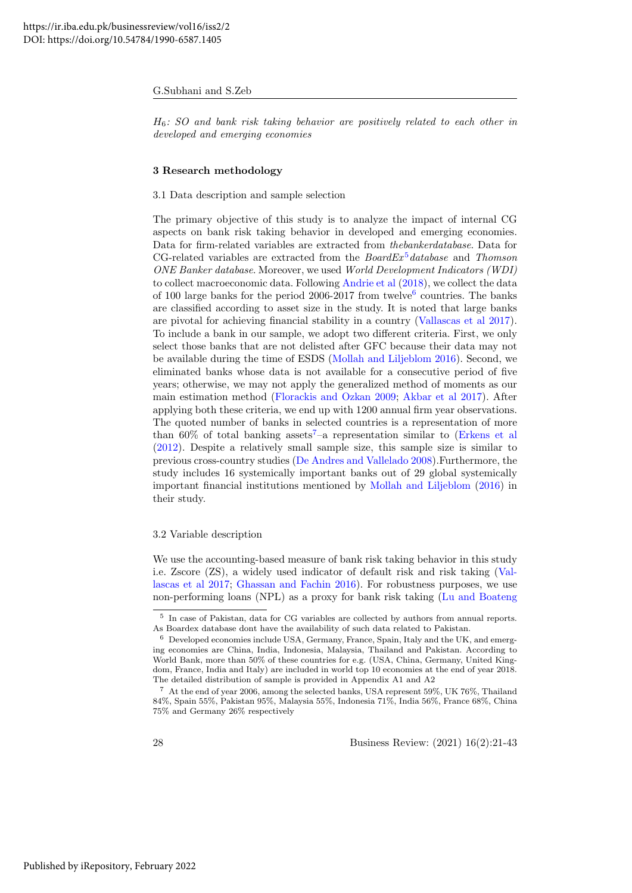$H<sub>6</sub>$ : SO and bank risk taking behavior are positively related to each other in developed and emerging economies

#### 3 Research methodology

#### 3.1 Data description and sample selection

The primary objective of this study is to analyze the impact of internal CG aspects on bank risk taking behavior in developed and emerging economies. Data for firm-related variables are extracted from thebankerdatabase. Data for CG-related variables are extracted from the  $BoardEx^5 database$  $BoardEx^5 database$  $BoardEx^5 database$  and Thomson ONE Banker database. Moreover, we used World Development Indicators (WDI) to collect macroeconomic data. Following [Andrie et al](#page-19-2) [\(2018\)](#page-19-2), we collect the data of 100 large banks for the period 200[6](#page-9-1)-2017 from twelve<sup>6</sup> countries. The banks are classified according to asset size in the study. It is noted that large banks are pivotal for achieving financial stability in a country [\(Vallascas et al 2017\)](#page-22-0). To include a bank in our sample, we adopt two different criteria. First, we only select those banks that are not delisted after GFC because their data may not be available during the time of ESDS [\(Mollah and Liljeblom 2016\)](#page-21-1). Second, we eliminated banks whose data is not available for a consecutive period of five years; otherwise, we may not apply the generalized method of moments as our main estimation method [\(Florackis and Ozkan 2009;](#page-21-21) [Akbar et al 2017\)](#page-19-1). After applying both these criteria, we end up with 1200 annual firm year observations. The quoted number of banks in selected countries is a representation of more than  $60\%$  of total banking assets<sup>[7](#page-9-2)</sup>-a representation similar to [\(Erkens et al](#page-20-19) [\(2012\)](#page-20-19). Despite a relatively small sample size, this sample size is similar to previous cross-country studies [\(De Andres and Vallelado 2008\)](#page-20-20).Furthermore, the study includes 16 systemically important banks out of 29 global systemically important financial institutions mentioned by [Mollah and Liljeblom](#page-21-1) [\(2016\)](#page-21-1) in their study.

#### 3.2 Variable description

We use the accounting-based measure of bank risk taking behavior in this study i.e. Zscore (ZS), a widely used indicator of default risk and risk taking [\(Val](#page-22-0)[lascas et al 2017;](#page-22-0) [Ghassan and Fachin 2016\)](#page-21-4). For robustness purposes, we use non-performing loans (NPL) as a proxy for bank risk taking [\(Lu and Boateng](#page-21-9)

<span id="page-9-0"></span><sup>5</sup> In case of Pakistan, data for CG variables are collected by authors from annual reports. As Boardex database dont have the availability of such data related to Pakistan.

<span id="page-9-1"></span><sup>6</sup> Developed economies include USA, Germany, France, Spain, Italy and the UK, and emerging economies are China, India, Indonesia, Malaysia, Thailand and Pakistan. According to World Bank, more than 50% of these countries for e.g. (USA, China, Germany, United Kingdom, France, India and Italy) are included in world top 10 economies at the end of year 2018. The detailed distribution of sample is provided in Appendix A1 and A2

<span id="page-9-2"></span><sup>7</sup> At the end of year 2006, among the selected banks, USA represent 59%, UK 76%, Thailand 84%, Spain 55%, Pakistan 95%, Malaysia 55%, Indonesia 71%, India 56%, France 68%, China 75% and Germany 26% respectively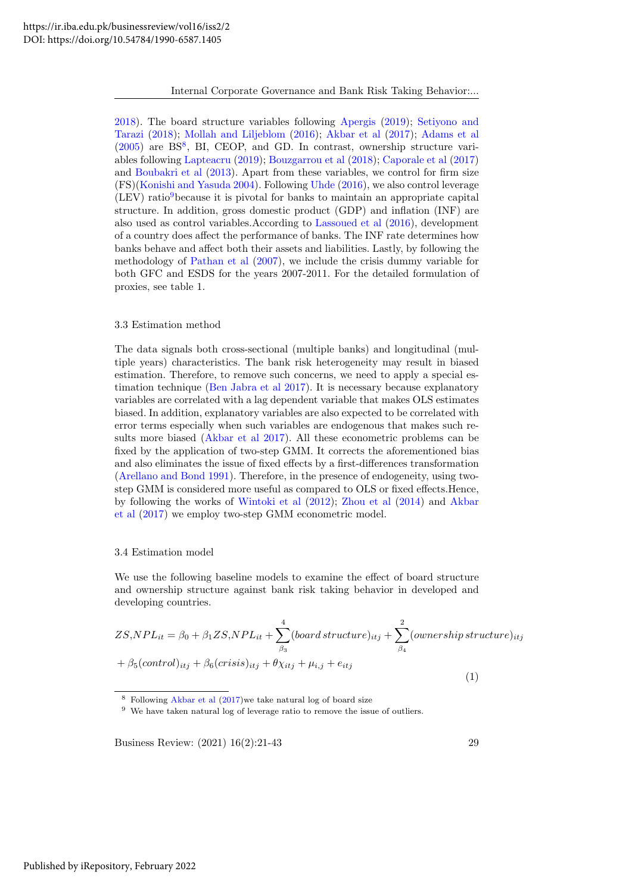Internal Corporate Governance and Bank Risk Taking Behavior:...

[2018\)](#page-21-9). The board structure variables following [Apergis](#page-20-4) [\(2019\)](#page-20-4); [Setiyono and](#page-22-1) [Tarazi](#page-22-1) [\(2018\)](#page-22-1); [Mollah and Liljeblom](#page-21-1) [\(2016\)](#page-21-1); [Akbar et al](#page-19-1) [\(2017\)](#page-19-1); [Adams et al](#page-19-3) [\(2005\)](#page-19-3) are BS<sup>[8](#page-10-0)</sup>, BI, CEOP, and GD. In contrast, ownership structure variables following [Lapteacru](#page-21-16) [\(2019\)](#page-21-16); [Bouzgarrou et al](#page-20-2) [\(2018\)](#page-20-2); [Caporale et al](#page-20-17) [\(2017\)](#page-20-17) and [Boubakri et al](#page-20-16) [\(2013\)](#page-20-16). Apart from these variables, we control for firm size (FS)[\(Konishi and Yasuda 2004\)](#page-21-22). Following [Uhde](#page-22-9) [\(2016\)](#page-22-9), we also control leverage  $(LEV)$  ratio<sup>[9](#page-10-1)</sup>because it is pivotal for banks to maintain an appropriate capital structure. In addition, gross domestic product (GDP) and inflation (INF) are also used as control variables.According to [Lassoued et al](#page-21-2) [\(2016\)](#page-21-2), development of a country does affect the performance of banks. The INF rate determines how banks behave and affect both their assets and liabilities. Lastly, by following the methodology of [Pathan et al](#page-22-3) [\(2007\)](#page-22-3), we include the crisis dummy variable for both GFC and ESDS for the years 2007-2011. For the detailed formulation of proxies, see table 1.

#### 3.3 Estimation method

The data signals both cross-sectional (multiple banks) and longitudinal (multiple years) characteristics. The bank risk heterogeneity may result in biased estimation. Therefore, to remove such concerns, we need to apply a special estimation technique [\(Ben Jabra et al 2017\)](#page-20-21). It is necessary because explanatory variables are correlated with a lag dependent variable that makes OLS estimates biased. In addition, explanatory variables are also expected to be correlated with error terms especially when such variables are endogenous that makes such results more biased [\(Akbar et al 2017\)](#page-19-1). All these econometric problems can be fixed by the application of two-step GMM. It corrects the aforementioned bias and also eliminates the issue of fixed effects by a first-differences transformation [\(Arellano and Bond 1991\)](#page-20-22). Therefore, in the presence of endogeneity, using twostep GMM is considered more useful as compared to OLS or fixed effects.Hence, by following the works of [Wintoki et al](#page-22-10) [\(2012\)](#page-22-10); [Zhou et al](#page-22-11) [\(2014\)](#page-22-11) and [Akbar](#page-19-1) [et al](#page-19-1) [\(2017\)](#page-19-1) we employ two-step GMM econometric model.

#### 3.4 Estimation model

We use the following baseline models to examine the effect of board structure and ownership structure against bank risk taking behavior in developed and developing countries.

$$
ZS, NPL_{it} = \beta_0 + \beta_1 ZS, NPL_{it} + \sum_{\beta_3}^4 (board structure)_{itj} + \sum_{\beta_4}^2 (ownership structure)_{itj}
$$

$$
+ \beta_5 (control)_{itj} + \beta_6 (crisis)_{itj} + \theta \chi_{itj} + \mu_{i,j} + e_{itj}
$$
(1)

<span id="page-10-0"></span><sup>8</sup> Following [Akbar et al](#page-19-1) [\(2017\)](#page-19-1)we take natural log of board size

<span id="page-10-1"></span><sup>9</sup> We have taken natural log of leverage ratio to remove the issue of outliers.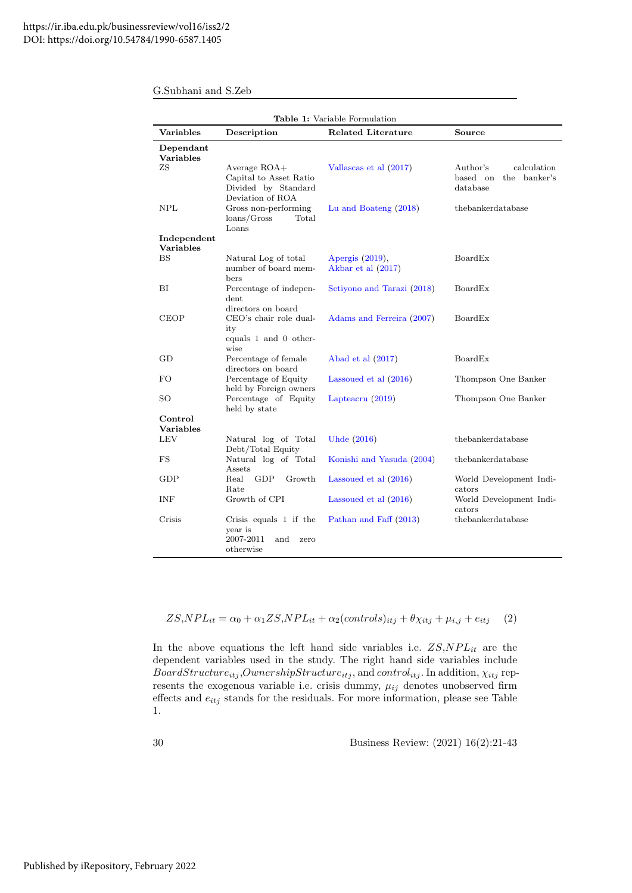|                               |                                                                                   | Table 1: Variable Formulation         |                                                              |
|-------------------------------|-----------------------------------------------------------------------------------|---------------------------------------|--------------------------------------------------------------|
| Variables                     | Description                                                                       | <b>Related Literature</b>             | Source                                                       |
| Dependant<br><b>Variables</b> |                                                                                   |                                       |                                                              |
| ZS                            | Average ROA+<br>Capital to Asset Ratio<br>Divided by Standard<br>Deviation of ROA | Vallascas et al (2017)                | Author's<br>calculation<br>based on the banker's<br>database |
| NPL                           | Gross non-performing<br>Total<br>$\langle$ loans/Gross<br>Loans                   | Lu and Boateng $(2018)$               | thebankerdatabase                                            |
| Independent<br>Variables      |                                                                                   |                                       |                                                              |
| <b>BS</b>                     | Natural Log of total<br>number of board mem-<br>bers                              | Apergis (2019),<br>Akbar et al (2017) | <b>BoardEx</b>                                               |
| BI                            | Percentage of indepen-<br>dent<br>directors on board                              | Setiyono and Tarazi (2018)            | <b>BoardEx</b>                                               |
| CEOP                          | CEO's chair role dual-<br>ity<br>equals 1 and 0 other-<br>wise                    | Adams and Ferreira (2007)             | <b>BoardEx</b>                                               |
| GD                            | Percentage of female<br>directors on board                                        | Abad et al $(2017)$                   | BoardEx                                                      |
| FO                            | Percentage of Equity<br>held by Foreign owners                                    | Lassoued et al $(2016)$               | Thompson One Banker                                          |
| SO                            | Percentage of Equity<br>held by state                                             | Lapteacru $(2019)$                    | Thompson One Banker                                          |
| Control<br><b>Variables</b>   |                                                                                   |                                       |                                                              |
| LEV                           | Natural log of Total<br>Debt/Total Equity                                         | Uhde (2016)                           | thebankerdatabase                                            |
| FS                            | Natural log of Total<br>Assets                                                    | Konishi and Yasuda (2004)             | thebankerdatabase                                            |
| GDP                           | Real<br>GDP<br>Growth<br>Rate                                                     | Lassoued et al $(2016)$               | World Development Indi-<br>cators                            |
| INF                           | Growth of CPI                                                                     | Lassoued et al $(2016)$               | World Development Indi-<br>cators                            |
| Crisis                        | Crisis equals $1$ if the<br>year is<br>2007-2011<br>and<br>zero<br>otherwise      | Pathan and Faff (2013)                | thebankerdatabase                                            |

$$
ZS, NPL_{it} = \alpha_0 + \alpha_1 ZS, NPL_{it} + \alpha_2 (controls)_{itj} + \theta \chi_{itj} + \mu_{i,j} + e_{itj} \quad (2)
$$

In the above equations the left hand side variables i.e.  $ZS, NPL_{it}$  are the dependent variables used in the study. The right hand side variables include  $BoardStructure_{itj},OwnershipStructure_{itj}$ , and  $control_{itj}$ . In addition,  $\chi_{itj}$  represents the exogenous variable i.e. crisis dummy,  $\mu_{ij}$  denotes unobserved firm effects and  $e_{itj}$  stands for the residuals. For more information, please see Table 1.

30 Business Review: (2021) 16(2):21-43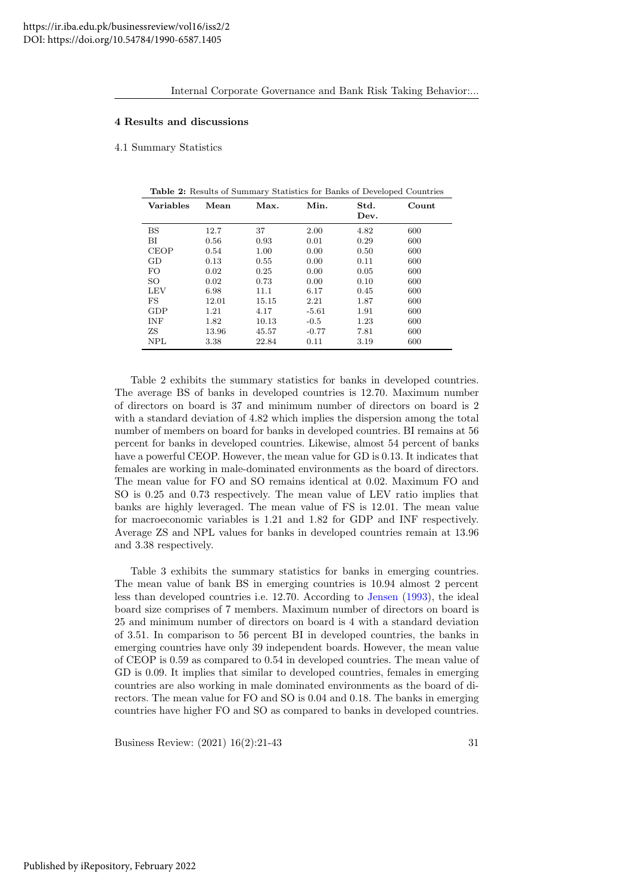#### 4 Results and discussions

4.1 Summary Statistics

| <b>Variables</b> | Mean  | Max.  | Min.    | Std.<br>Dev. | Count |
|------------------|-------|-------|---------|--------------|-------|
| $_{\rm BS}$      | 12.7  | 37    | 2.00    | 4.82         | 600   |
| BI               | 0.56  | 0.93  | 0.01    | 0.29         | 600   |
| <b>CEOP</b>      | 0.54  | 1.00  | 0.00    | 0.50         | 600   |
| GD               | 0.13  | 0.55  | 0.00    | 0.11         | 600   |
| FO.              | 0.02  | 0.25  | 0.00    | 0.05         | 600   |
| SO               | 0.02  | 0.73  | 0.00    | 0.10         | 600   |
| LEV              | 6.98  | 11.1  | 6.17    | 0.45         | 600   |
| $_{\rm FS}$      | 12.01 | 15.15 | 2.21    | 1.87         | 600   |
| GDP              | 1.21  | 4.17  | $-5.61$ | 1.91         | 600   |
| <b>INF</b>       | 1.82  | 10.13 | $-0.5$  | 1.23         | 600   |
| ZS               | 13.96 | 45.57 | $-0.77$ | 7.81         | 600   |
| <b>NPL</b>       | 3.38  | 22.84 | 0.11    | 3.19         | 600   |

Table 2: Results of Summary Statistics for Banks of Developed Countries

Table 2 exhibits the summary statistics for banks in developed countries. The average BS of banks in developed countries is 12.70. Maximum number of directors on board is 37 and minimum number of directors on board is 2 with a standard deviation of 4.82 which implies the dispersion among the total number of members on board for banks in developed countries. BI remains at 56 percent for banks in developed countries. Likewise, almost 54 percent of banks have a powerful CEOP. However, the mean value for GD is 0.13. It indicates that females are working in male-dominated environments as the board of directors. The mean value for FO and SO remains identical at 0.02. Maximum FO and SO is 0.25 and 0.73 respectively. The mean value of LEV ratio implies that banks are highly leveraged. The mean value of FS is 12.01. The mean value for macroeconomic variables is 1.21 and 1.82 for GDP and INF respectively. Average ZS and NPL values for banks in developed countries remain at 13.96 and 3.38 respectively.

Table 3 exhibits the summary statistics for banks in emerging countries. The mean value of bank BS in emerging countries is 10.94 almost 2 percent less than developed countries i.e. 12.70. According to [Jensen](#page-21-5) [\(1993\)](#page-21-5), the ideal board size comprises of 7 members. Maximum number of directors on board is 25 and minimum number of directors on board is 4 with a standard deviation of 3.51. In comparison to 56 percent BI in developed countries, the banks in emerging countries have only 39 independent boards. However, the mean value of CEOP is 0.59 as compared to 0.54 in developed countries. The mean value of GD is 0.09. It implies that similar to developed countries, females in emerging countries are also working in male dominated environments as the board of directors. The mean value for FO and SO is 0.04 and 0.18. The banks in emerging countries have higher FO and SO as compared to banks in developed countries.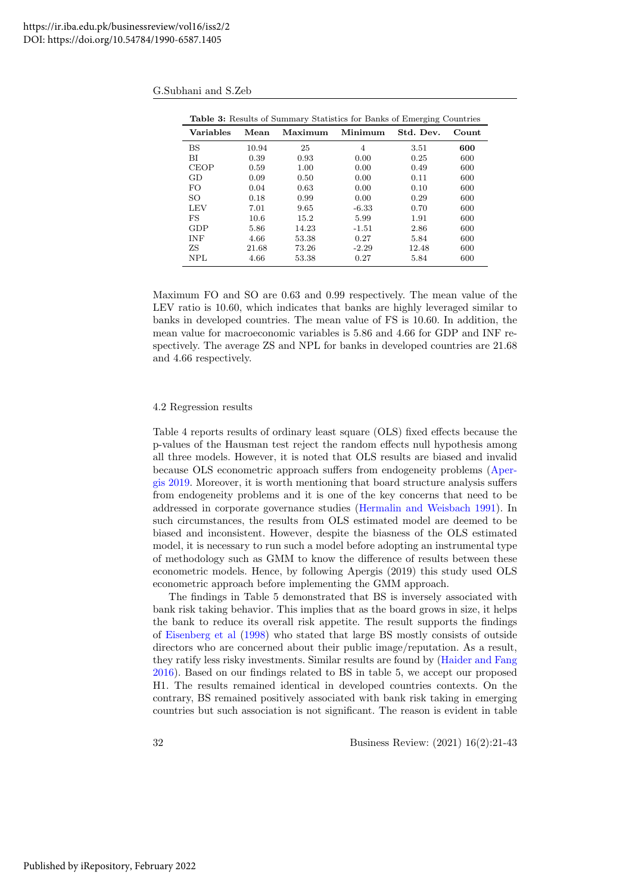| <b>Table 3:</b> Results of Summary Statistics for Banks of Emerging Countries |       |         |                |           |       |
|-------------------------------------------------------------------------------|-------|---------|----------------|-----------|-------|
| <b>Variables</b>                                                              | Mean  | Maximum | Minimum        | Std. Dev. | Count |
| <b>BS</b>                                                                     | 10.94 | 25      | $\overline{4}$ | 3.51      | 600   |
| ВI                                                                            | 0.39  | 0.93    | 0.00           | 0.25      | 600   |
| <b>CEOP</b>                                                                   | 0.59  | 1.00    | 0.00           | 0.49      | 600   |
| GD                                                                            | 0.09  | 0.50    | 0.00           | 0.11      | 600   |
| FO                                                                            | 0.04  | 0.63    | 0.00           | 0.10      | 600   |
| SO.                                                                           | 0.18  | 0.99    | 0.00           | 0.29      | 600   |
| LEV                                                                           | 7.01  | 9.65    | $-6.33$        | 0.70      | 600   |
| FS                                                                            | 10.6  | 15.2    | 5.99           | 1.91      | 600   |
| GDP                                                                           | 5.86  | 14.23   | $-1.51$        | 2.86      | 600   |
| <b>INF</b>                                                                    | 4.66  | 53.38   | 0.27           | 5.84      | 600   |
| ZS.                                                                           | 21.68 | 73.26   | $-2.29$        | 12.48     | 600   |
| NPL                                                                           | 4.66  | 53.38   | 0.27           | 5.84      | 600   |

Maximum FO and SO are 0.63 and 0.99 respectively. The mean value of the LEV ratio is 10.60, which indicates that banks are highly leveraged similar to banks in developed countries. The mean value of FS is 10.60. In addition, the mean value for macroeconomic variables is 5.86 and 4.66 for GDP and INF respectively. The average ZS and NPL for banks in developed countries are 21.68 and 4.66 respectively.

#### 4.2 Regression results

Table 4 reports results of ordinary least square (OLS) fixed effects because the p-values of the Hausman test reject the random effects null hypothesis among all three models. However, it is noted that OLS results are biased and invalid because OLS econometric approach suffers from endogeneity problems [\(Aper](#page-20-4)[gis 2019.](#page-20-4) Moreover, it is worth mentioning that board structure analysis suffers from endogeneity problems and it is one of the key concerns that need to be addressed in corporate governance studies [\(Hermalin and Weisbach 1991\)](#page-21-23). In such circumstances, the results from OLS estimated model are deemed to be biased and inconsistent. However, despite the biasness of the OLS estimated model, it is necessary to run such a model before adopting an instrumental type of methodology such as GMM to know the difference of results between these econometric models. Hence, by following Apergis (2019) this study used OLS econometric approach before implementing the GMM approach.

The findings in Table 5 demonstrated that BS is inversely associated with bank risk taking behavior. This implies that as the board grows in size, it helps the bank to reduce its overall risk appetite. The result supports the findings of [Eisenberg et al](#page-20-6) [\(1998\)](#page-20-6) who stated that large BS mostly consists of outside directors who are concerned about their public image/reputation. As a result, they ratify less risky investments. Similar results are found by [\(Haider and Fang](#page-21-10) [2016\)](#page-21-10). Based on our findings related to BS in table 5, we accept our proposed H1. The results remained identical in developed countries contexts. On the contrary, BS remained positively associated with bank risk taking in emerging countries but such association is not significant. The reason is evident in table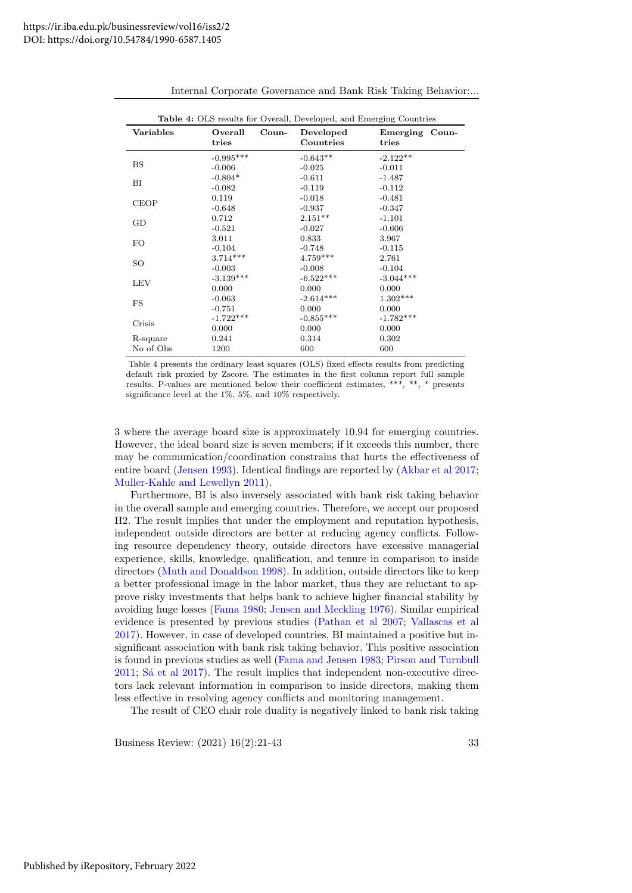|                       | <b>Table 4:</b> OLS results for Overall, Developed, and Emerging Countries |       |                        |                         |  |
|-----------------------|----------------------------------------------------------------------------|-------|------------------------|-------------------------|--|
| <b>Variables</b>      | Overall<br>tries                                                           | Coun- | Developed<br>Countries | Emerging Coun-<br>tries |  |
| <b>BS</b>             | $-0.995***$<br>$-0.006$                                                    |       | $-0.643**$<br>$-0.025$ | $-2.122**$<br>$-0.011$  |  |
| ВI                    | $-0.804*$<br>$-0.082$                                                      |       | $-0.611$<br>$-0.119$   | $-1.487$<br>$-0.112$    |  |
| <b>CEOP</b>           | 0.119<br>$-0.648$                                                          |       | $-0.018$<br>$-0.937$   | $-0.481$<br>$-0.347$    |  |
| GD                    | 0.712<br>$-0.521$                                                          |       | $2.151**$<br>$-0.027$  | $-1.101$<br>$-0.606$    |  |
| FO.                   | 3.011<br>$-0.104$                                                          |       | 0.833<br>$-0.748$      | 3.967<br>$-0.115$       |  |
| SO                    | $3.714***$<br>$-0.003$                                                     |       | $4.759***$<br>$-0.008$ | 2.761<br>$-0.104$       |  |
| LEV                   | $-3.139***$<br>0.000                                                       |       | $-6.522***$<br>0.000   | $-3.044***$<br>0.000    |  |
| FS                    | $-0.063$<br>$-0.751$                                                       |       | $-2.614***$<br>0.000   | $1.302***$<br>0.000     |  |
| Crisis                | $-1.722***$<br>0.000                                                       |       | $-0.855***$<br>0.000   | $-1.782***$<br>0.000    |  |
| R-square<br>No of Obs | 0.241<br>1200                                                              |       | 0.314<br>600           | 0.302<br>600            |  |

Internal Corporate Governance and Bank Risk Taking Behavior:...

Table 4 presents the ordinary least squares (OLS) fixed effects results from predicting default risk proxied by Zscore. The estimates in the first column report full sample results. P-values are mentioned below their coefficient estimates, \*\*\*, \*\*, \* presents significance level at the 1%, 5%, and 10% respectively.

3 where the average board size is approximately 10.94 for emerging countries. However, the ideal board size is seven members; if it exceeds this number, there may be communication/coordination constrains that hurts the effectiveness of entire board [\(Jensen 1993\)](#page-21-5). Identical findings are reported by [\(Akbar et al 2017;](#page-19-1) [Muller-Kahle and Lewellyn 2011\)](#page-21-24).

Furthermore, BI is also inversely associated with bank risk taking behavior in the overall sample and emerging countries. Therefore, we accept our proposed H2. The result implies that under the employment and reputation hypothesis, independent outside directors are better at reducing agency conflicts. Following resource dependency theory, outside directors have excessive managerial experience, skills, knowledge, qualification, and tenure in comparison to inside directors [\(Muth and Donaldson 1998\)](#page-21-6). In addition, outside directors like to keep a better professional image in the labor market, thus they are reluctant to approve risky investments that helps bank to achieve higher financial stability by avoiding huge losses [\(Fama 1980;](#page-20-8) [Jensen and Meckling 1976\)](#page-21-11). Similar empirical evidence is presented by previous studies [\(Pathan et al 2007;](#page-22-3) [Vallascas et al](#page-22-0) [2017\)](#page-22-0). However, in case of developed countries, BI maintained a positive but insignificant association with bank risk taking behavior. This positive association is found in previous studies as well [\(Fama and Jensen 1983;](#page-20-23) [Pirson and Turnbull](#page-22-13)  $2011$ ; S<sub>4</sub><sup> $\pm$ </sup> al  $2017$ ). The result implies that independent non-executive directors lack relevant information in comparison to inside directors, making them less effective in resolving agency conflicts and monitoring management.

The result of CEO chair role duality is negatively linked to bank risk taking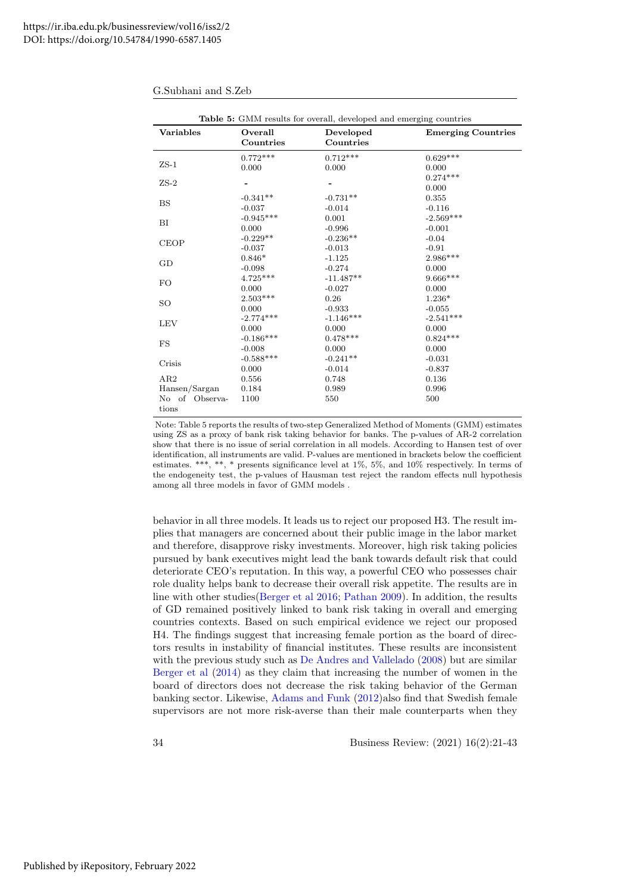| <b>Variables</b> | Overall<br>Countries | Developed<br>Countries | <b>Emerging Countries</b> |
|------------------|----------------------|------------------------|---------------------------|
|                  | $0.772***$           | $0.712***$             | $0.629***$                |
| $ZS-1$           | 0.000                | 0.000                  | 0.000                     |
|                  |                      |                        | $0.274***$                |
| $ZS-2$           |                      |                        | 0.000                     |
|                  | $-0.341**$           | $-0.731**$             | 0.355                     |
| <b>BS</b>        | $-0.037$             | $-0.014$               | $-0.116$                  |
|                  | $-0.945***$          | 0.001                  | $-2.569***$               |
| BI               | 0.000                | $-0.996$               | $-0.001$                  |
|                  | $-0.229**$           | $-0.236**$             | $-0.04$                   |
| <b>CEOP</b>      | $-0.037$             | $-0.013$               | $-0.91$                   |
|                  | $0.846*$             | $-1.125$               | 2.986***                  |
| GD               | $-0.098$             | $-0.274$               | 0.000                     |
|                  | $4.725***$           | $-11.487**$            | $9.666***$                |
| <b>FO</b>        | 0.000                | $-0.027$               | 0.000                     |
|                  | $2.503***$           | 0.26                   | $1.236*$                  |
| <b>SO</b>        | 0.000                | $-0.933$               | $-0.055$                  |
|                  | $-2.774***$          | $-1.146***$            | $-2.541***$               |
| <b>LEV</b>       | 0.000                | 0.000                  | 0.000                     |
|                  | $-0.186***$          | $0.478***$             | $0.824***$                |
| <b>FS</b>        | $-0.008$             | 0.000                  | 0.000                     |
|                  | $-0.588***$          | $-0.241**$             | $-0.031$                  |
| Crisis           | 0.000                | $-0.014$               | $-0.837$                  |
| AR2              | 0.556                | 0.748                  | 0.136                     |
| Hansen/Sargan    | 0.184                | 0.989                  | 0.996                     |
| No of Observa-   | 1100                 | 550                    | 500                       |
| tions            |                      |                        |                           |

Note: Table 5 reports the results of two-step Generalized Method of Moments (GMM) estimates using ZS as a proxy of bank risk taking behavior for banks. The p-values of AR-2 correlation show that there is no issue of serial correlation in all models. According to Hansen test of over identification, all instruments are valid. P-values are mentioned in brackets below the coefficient estimates. \*\*\*, \*\*, \* presents significance level at 1%, 5%, and 10% respectively. In terms of the endogeneity test, the p-values of Hausman test reject the random effects null hypothesis among all three models in favor of GMM models .

behavior in all three models. It leads us to reject our proposed H3. The result implies that managers are concerned about their public image in the labor market and therefore, disapprove risky investments. Moreover, high risk taking policies pursued by bank executives might lead the bank towards default risk that could deteriorate CEO's reputation. In this way, a powerful CEO who possesses chair role duality helps bank to decrease their overall risk appetite. The results are in line with other studies[\(Berger et al 2016;](#page-20-5) [Pathan 2009\)](#page-21-8). In addition, the results of GD remained positively linked to bank risk taking in overall and emerging countries contexts. Based on such empirical evidence we reject our proposed H4. The findings suggest that increasing female portion as the board of directors results in instability of financial institutes. These results are inconsistent with the previous study such as [De Andres and Vallelado](#page-20-20) [\(2008\)](#page-20-20) but are similar [Berger et al](#page-20-24) [\(2014\)](#page-20-24) as they claim that increasing the number of women in the board of directors does not decrease the risk taking behavior of the German banking sector. Likewise, [Adams and Funk](#page-19-6) [\(2012\)](#page-19-6)also find that Swedish female supervisors are not more risk-averse than their male counterparts when they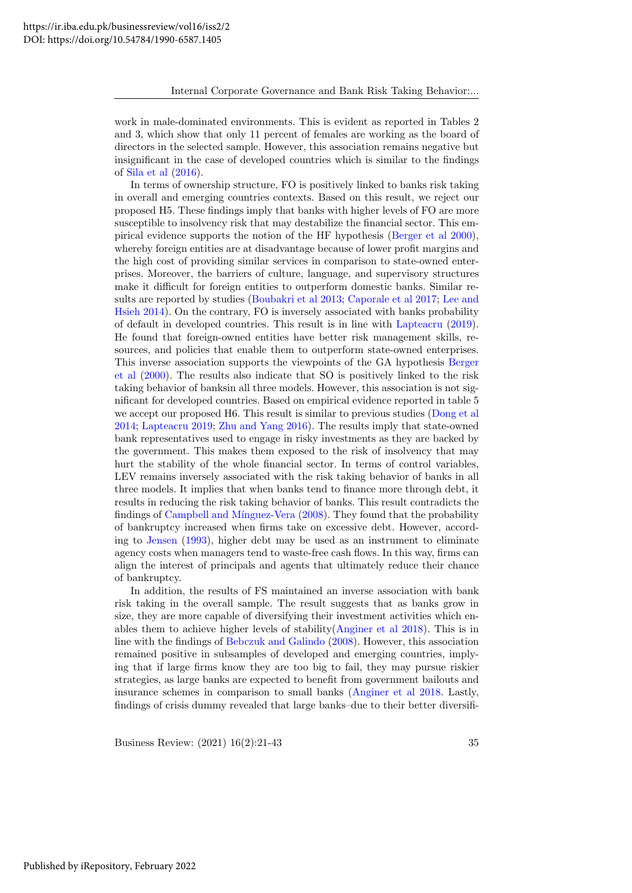work in male-dominated environments. This is evident as reported in Tables 2 and 3, which show that only 11 percent of females are working as the board of directors in the selected sample. However, this association remains negative but insignificant in the case of developed countries which is similar to the findings of [Sila et al](#page-22-15) [\(2016\)](#page-22-15).

In terms of ownership structure, FO is positively linked to banks risk taking in overall and emerging countries contexts. Based on this result, we reject our proposed H5. These findings imply that banks with higher levels of FO are more susceptible to insolvency risk that may destabilize the financial sector. This empirical evidence supports the notion of the HF hypothesis [\(Berger et al 2000\)](#page-20-15), whereby foreign entities are at disadvantage because of lower profit margins and the high cost of providing similar services in comparison to state-owned enterprises. Moreover, the barriers of culture, language, and supervisory structures make it difficult for foreign entities to outperform domestic banks. Similar results are reported by studies [\(Boubakri et al 2013;](#page-20-16) [Caporale et al 2017;](#page-20-17) [Lee and](#page-21-25) [Hsieh 2014\)](#page-21-25). On the contrary, FO is inversely associated with banks probability of default in developed countries. This result is in line with [Lapteacru](#page-21-16) [\(2019\)](#page-21-16). He found that foreign-owned entities have better risk management skills, resources, and policies that enable them to outperform state-owned enterprises. This inverse association supports the viewpoints of the GA hypothesis [Berger](#page-20-15) [et al](#page-20-15) [\(2000\)](#page-20-15). The results also indicate that SO is positively linked to the risk taking behavior of banksin all three models. However, this association is not significant for developed countries. Based on empirical evidence reported in table 5 we accept our proposed H6. This result is similar to previous studies [\(Dong et al](#page-20-18) [2014;](#page-20-18) [Lapteacru 2019;](#page-21-16) [Zhu and Yang 2016\)](#page-22-8). The results imply that state-owned bank representatives used to engage in risky investments as they are backed by the government. This makes them exposed to the risk of insolvency that may hurt the stability of the whole financial sector. In terms of control variables, LEV remains inversely associated with the risk taking behavior of banks in all three models. It implies that when banks tend to finance more through debt, it results in reducing the risk taking behavior of banks. This result contradicts the findings of Campbell and Mínguez-Vera [\(2008\)](#page-20-25). They found that the probability of bankruptcy increased when firms take on excessive debt. However, according to [Jensen](#page-21-5) [\(1993\)](#page-21-5), higher debt may be used as an instrument to eliminate agency costs when managers tend to waste-free cash flows. In this way, firms can align the interest of principals and agents that ultimately reduce their chance of bankruptcy.

In addition, the results of FS maintained an inverse association with bank risk taking in the overall sample. The result suggests that as banks grow in size, they are more capable of diversifying their investment activities which enables them to achieve higher levels of stability[\(Anginer et al 2018\)](#page-20-3). This is in line with the findings of [Bebczuk and Galindo](#page-20-26) [\(2008\)](#page-20-26). However, this association remained positive in subsamples of developed and emerging countries, implying that if large firms know they are too big to fail, they may pursue riskier strategies, as large banks are expected to benefit from government bailouts and insurance schemes in comparison to small banks [\(Anginer et al 2018.](#page-20-3) Lastly, findings of crisis dummy revealed that large banks–due to their better diversifi-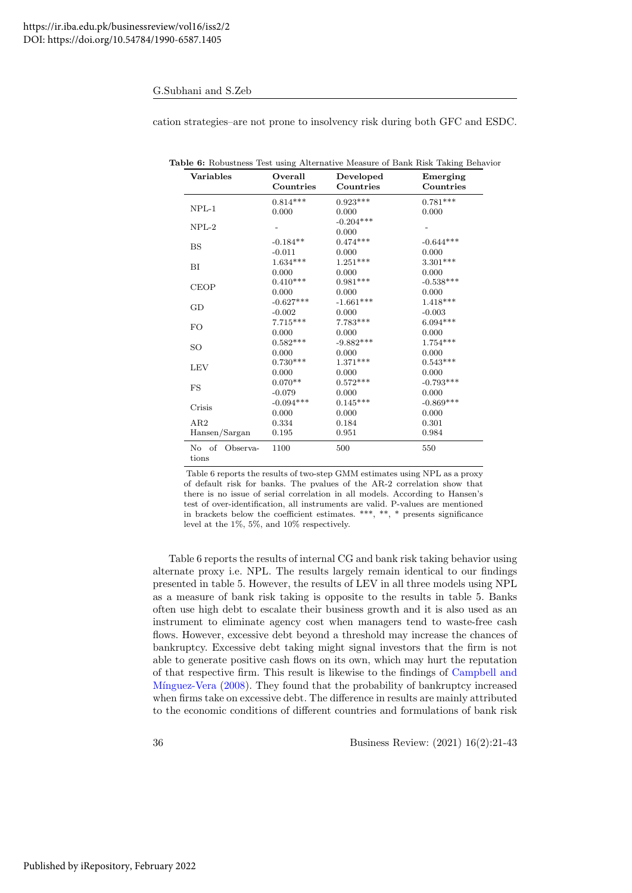| cation strategies-are not prone to insolvency risk during both GFC and ESDC. |  |  |
|------------------------------------------------------------------------------|--|--|
|                                                                              |  |  |

| Variables                  | Overall<br>Countries | Developed<br>Countries | Emerging<br>Countries |
|----------------------------|----------------------|------------------------|-----------------------|
|                            | $0.814***$           | $0.923***$             | $0.781***$            |
| $NPL-1$                    | 0.000                | 0.000                  | 0.000                 |
| $NPL-2$                    |                      | $-0.204***$            |                       |
|                            |                      | 0.000                  |                       |
| <b>BS</b>                  | $-0.184**$           | $0.474***$             | $-0.644***$           |
|                            | $-0.011$             | 0.000                  | 0.000                 |
| BI                         | $1.634***$           | $1.251***$             | $3.301***$            |
|                            | 0.000                | 0.000                  | 0.000                 |
| <b>CEOP</b>                | $0.410***$           | $0.981***$             | $-0.538***$           |
|                            | 0.000                | 0.000                  | 0.000                 |
| GD                         | $-0.627***$          | $-1.661***$            | $1.418***$            |
|                            | $-0.002$             | 0.000                  | $-0.003$              |
| <b>FO</b>                  | $7.715***$           | $7.783***$             | $6.094***$            |
|                            | 0.000                | 0.000                  | 0.000                 |
| SO                         | $0.582***$           | $-9.882***$            | $1.754***$            |
|                            | 0.000                | 0.000                  | 0.000                 |
| <b>LEV</b>                 | $0.730***$           | $1.371***$             | $0.543***$            |
|                            | 0.000                | 0.000                  | 0.000                 |
| FS                         | $0.070**$            | $0.572***$             | $-0.793***$           |
|                            | $-0.079$             | 0.000                  | 0.000                 |
| Crisis                     | $-0.094***$          | $0.145***$             | $-0.869***$           |
|                            | 0.000                | 0.000                  | 0.000                 |
| AR2                        | 0.334                | 0.184                  | 0.301                 |
| Hansen/Sargan              | 0.195                | 0.951                  | 0.984                 |
| No of<br>Observa-<br>tions | 1100                 | 500                    | 550                   |

Table 6: Robustness Test using Alternative Measure of Bank Risk Taking Behavior

Table 6 reports the results of two-step GMM estimates using NPL as a proxy of default risk for banks. The pvalues of the AR-2 correlation show that there is no issue of serial correlation in all models. According to Hansen's test of over-identification, all instruments are valid. P-values are mentioned in brackets below the coefficient estimates. \*\*\*, \*\*, \* presents significance level at the 1%, 5%, and 10% respectively.

Table 6 reports the results of internal CG and bank risk taking behavior using alternate proxy i.e. NPL. The results largely remain identical to our findings presented in table 5. However, the results of LEV in all three models using NPL as a measure of bank risk taking is opposite to the results in table 5. Banks often use high debt to escalate their business growth and it is also used as an instrument to eliminate agency cost when managers tend to waste-free cash flows. However, excessive debt beyond a threshold may increase the chances of bankruptcy. Excessive debt taking might signal investors that the firm is not able to generate positive cash flows on its own, which may hurt the reputation of that respective firm. This result is likewise to the findings of [Campbell and](#page-20-25) Mínguez-Vera [\(2008\)](#page-20-25). They found that the probability of bankruptcy increased when firms take on excessive debt. The difference in results are mainly attributed to the economic conditions of different countries and formulations of bank risk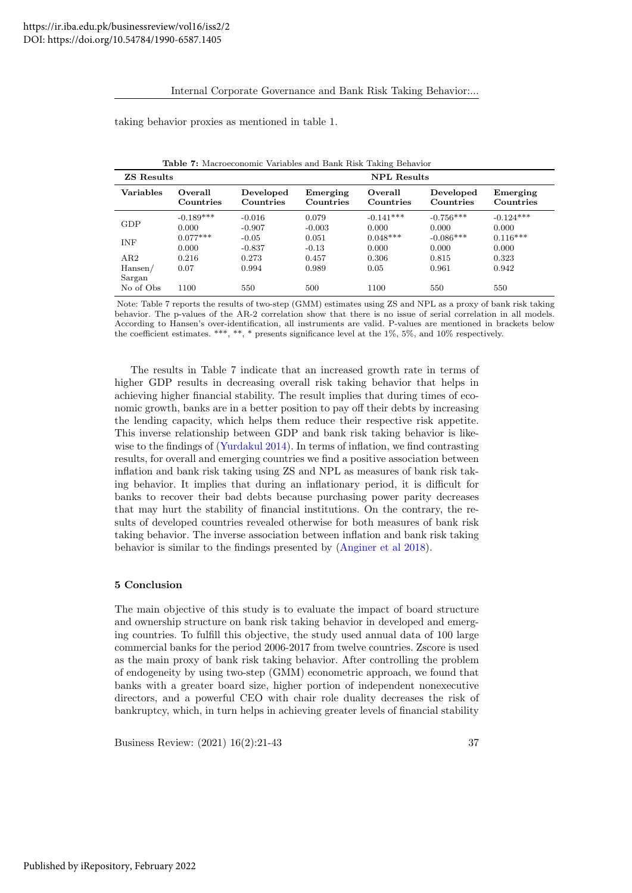### Internal Corporate Governance and Bank Risk Taking Behavior:...

taking behavior proxies as mentioned in table 1.

| <b>ZS Results</b> |                      |                        |                       | <b>NPL Results</b>   |                        |                       |
|-------------------|----------------------|------------------------|-----------------------|----------------------|------------------------|-----------------------|
| Variables         | Overall<br>Countries | Developed<br>Countries | Emerging<br>Countries | Overall<br>Countries | Developed<br>Countries | Emerging<br>Countries |
| <b>GDP</b>        | $-0.189***$          | $-0.016$               | 0.079                 | $-0.141***$          | $-0.756***$            | $-0.124***$           |
|                   | 0.000                | $-0.907$               | $-0.003$              | 0.000                | 0.000                  | 0.000                 |
| <b>INF</b>        | $0.077***$           | $-0.05$                | 0.051                 | $0.048***$           | $-0.086***$            | $0.116***$            |
|                   | 0.000                | $-0.837$               | $-0.13$               | 0.000                | 0.000                  | 0.000                 |
| AR2               | 0.216                | 0.273                  | 0.457                 | 0.306                | 0.815                  | 0.323                 |
| Hansen/           | 0.07                 | 0.994                  | 0.989                 | 0.05                 | 0.961                  | 0.942                 |
| Sargan            |                      |                        |                       |                      |                        |                       |
| No of Obs         | 1100                 | 550                    | 500                   | 1100                 | 550                    | 550                   |

Table 7: Macroeconomic Variables and Bank Risk Taking Behavior

Note: Table 7 reports the results of two-step (GMM) estimates using ZS and NPL as a proxy of bank risk taking behavior. The p-values of the AR-2 correlation show that there is no issue of serial correlation in all models. According to Hansen's over-identification, all instruments are valid. P-values are mentioned in brackets below the coefficient estimates. \*\*\*, \*\*, \* presents significance level at the 1%, 5%, and 10% respectively.

The results in Table 7 indicate that an increased growth rate in terms of higher GDP results in decreasing overall risk taking behavior that helps in achieving higher financial stability. The result implies that during times of economic growth, banks are in a better position to pay off their debts by increasing the lending capacity, which helps them reduce their respective risk appetite. This inverse relationship between GDP and bank risk taking behavior is like-wise to the findings of [\(Yurdakul 2014\)](#page-22-16). In terms of inflation, we find contrasting results, for overall and emerging countries we find a positive association between inflation and bank risk taking using ZS and NPL as measures of bank risk taking behavior. It implies that during an inflationary period, it is difficult for banks to recover their bad debts because purchasing power parity decreases that may hurt the stability of financial institutions. On the contrary, the results of developed countries revealed otherwise for both measures of bank risk taking behavior. The inverse association between inflation and bank risk taking behavior is similar to the findings presented by [\(Anginer et al 2018\)](#page-20-3).

### 5 Conclusion

The main objective of this study is to evaluate the impact of board structure and ownership structure on bank risk taking behavior in developed and emerging countries. To fulfill this objective, the study used annual data of 100 large commercial banks for the period 2006-2017 from twelve countries. Zscore is used as the main proxy of bank risk taking behavior. After controlling the problem of endogeneity by using two-step (GMM) econometric approach, we found that banks with a greater board size, higher portion of independent nonexecutive directors, and a powerful CEO with chair role duality decreases the risk of bankruptcy, which, in turn helps in achieving greater levels of financial stability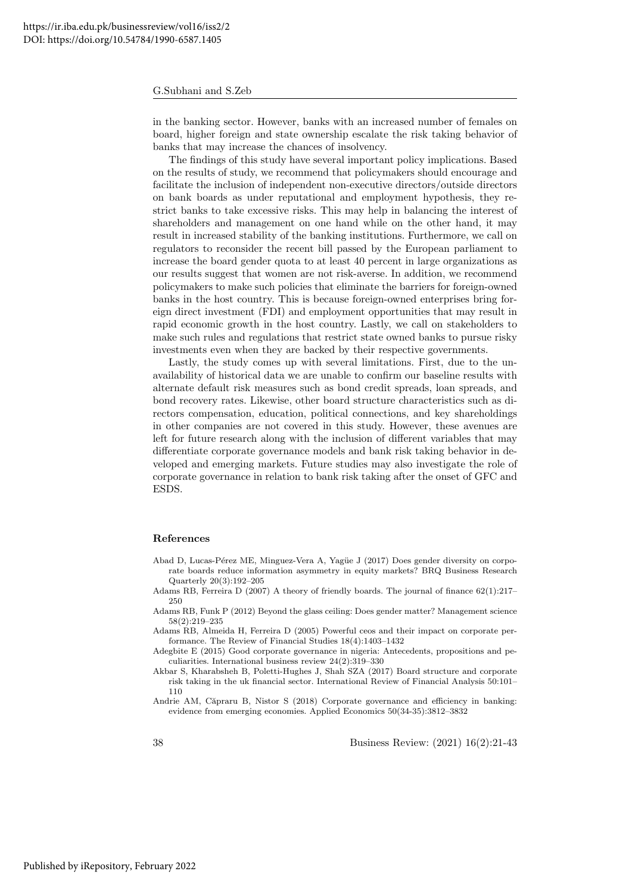in the banking sector. However, banks with an increased number of females on board, higher foreign and state ownership escalate the risk taking behavior of banks that may increase the chances of insolvency.

The findings of this study have several important policy implications. Based on the results of study, we recommend that policymakers should encourage and facilitate the inclusion of independent non-executive directors/outside directors on bank boards as under reputational and employment hypothesis, they restrict banks to take excessive risks. This may help in balancing the interest of shareholders and management on one hand while on the other hand, it may result in increased stability of the banking institutions. Furthermore, we call on regulators to reconsider the recent bill passed by the European parliament to increase the board gender quota to at least 40 percent in large organizations as our results suggest that women are not risk-averse. In addition, we recommend policymakers to make such policies that eliminate the barriers for foreign-owned banks in the host country. This is because foreign-owned enterprises bring foreign direct investment (FDI) and employment opportunities that may result in rapid economic growth in the host country. Lastly, we call on stakeholders to make such rules and regulations that restrict state owned banks to pursue risky investments even when they are backed by their respective governments.

Lastly, the study comes up with several limitations. First, due to the unavailability of historical data we are unable to confirm our baseline results with alternate default risk measures such as bond credit spreads, loan spreads, and bond recovery rates. Likewise, other board structure characteristics such as directors compensation, education, political connections, and key shareholdings in other companies are not covered in this study. However, these avenues are left for future research along with the inclusion of different variables that may differentiate corporate governance models and bank risk taking behavior in developed and emerging markets. Future studies may also investigate the role of corporate governance in relation to bank risk taking after the onset of GFC and ESDS.

#### References

- <span id="page-19-5"></span>Abad D, Lucas-Pérez ME, Minguez-Vera A, Yagüe J (2017) Does gender diversity on corporate boards reduce information asymmetry in equity markets? BRQ Business Research Quarterly 20(3):192–205
- <span id="page-19-4"></span>Adams RB, Ferreira D (2007) A theory of friendly boards. The journal of finance 62(1):217– 250
- <span id="page-19-6"></span>Adams RB, Funk P (2012) Beyond the glass ceiling: Does gender matter? Management science 58(2):219–235
- <span id="page-19-3"></span>Adams RB, Almeida H, Ferreira D (2005) Powerful ceos and their impact on corporate performance. The Review of Financial Studies 18(4):1403–1432
- <span id="page-19-0"></span>Adegbite E (2015) Good corporate governance in nigeria: Antecedents, propositions and peculiarities. International business review 24(2):319–330
- <span id="page-19-1"></span>Akbar S, Kharabsheh B, Poletti-Hughes J, Shah SZA (2017) Board structure and corporate risk taking in the uk financial sector. International Review of Financial Analysis 50:101– 110
- <span id="page-19-2"></span>Andrie AM, Căpraru B, Nistor S (2018) Corporate governance and efficiency in banking: evidence from emerging economies. Applied Economics 50(34-35):3812–3832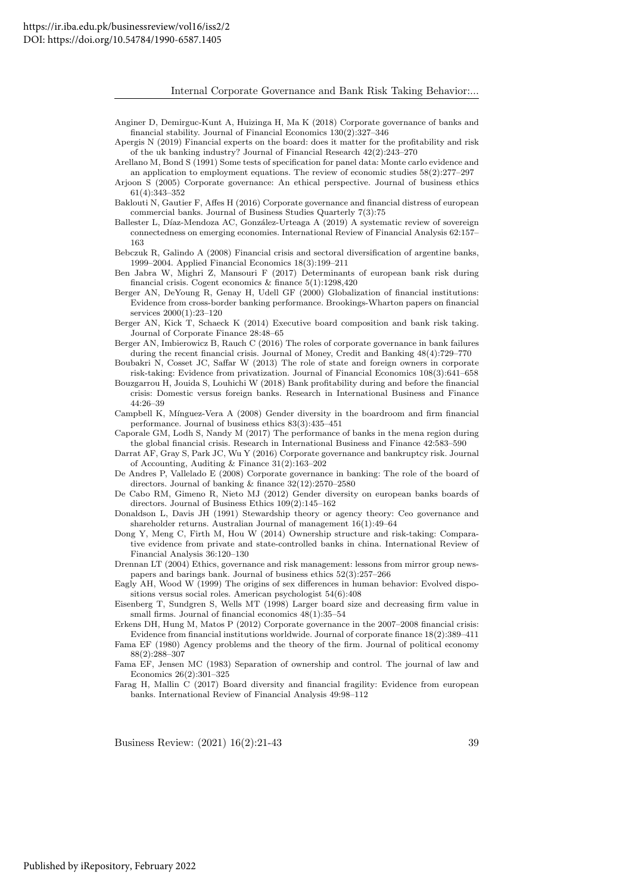- <span id="page-20-3"></span>Anginer D, Demirguc-Kunt A, Huizinga H, Ma K (2018) Corporate governance of banks and financial stability. Journal of Financial Economics 130(2):327–346
- <span id="page-20-4"></span>Apergis N (2019) Financial experts on the board: does it matter for the profitability and risk of the uk banking industry? Journal of Financial Research 42(2):243–270
- <span id="page-20-22"></span>Arellano M, Bond S (1991) Some tests of specification for panel data: Monte carlo evidence and an application to employment equations. The review of economic studies 58(2):277–297
- <span id="page-20-12"></span>Arjoon S (2005) Corporate governance: An ethical perspective. Journal of business ethics 61(4):343–352
- <span id="page-20-9"></span>Baklouti N, Gautier F, Affes H (2016) Corporate governance and financial distress of european commercial banks. Journal of Business Studies Quarterly 7(3):75
- <span id="page-20-1"></span>Ballester L, Díaz-Mendoza AC, González-Urteaga A (2019) A systematic review of sovereign connectedness on emerging economies. International Review of Financial Analysis 62:157– 163
- <span id="page-20-26"></span>Bebczuk R, Galindo A (2008) Financial crisis and sectoral diversification of argentine banks, 1999–2004. Applied Financial Economics 18(3):199–211
- <span id="page-20-21"></span>Ben Jabra W, Mighri Z, Mansouri F (2017) Determinants of european bank risk during financial crisis. Cogent economics & finance 5(1):1298,420
- <span id="page-20-15"></span>Berger AN, DeYoung R, Genay H, Udell GF (2000) Globalization of financial institutions: Evidence from cross-border banking performance. Brookings-Wharton papers on financial services 2000(1):23–120
- <span id="page-20-24"></span>Berger AN, Kick T, Schaeck K (2014) Executive board composition and bank risk taking. Journal of Corporate Finance 28:48–65
- <span id="page-20-5"></span>Berger AN, Imbierowicz B, Rauch C (2016) The roles of corporate governance in bank failures during the recent financial crisis. Journal of Money, Credit and Banking 48(4):729–770
- <span id="page-20-16"></span>Boubakri N, Cosset JC, Saffar W (2013) The role of state and foreign owners in corporate risk-taking: Evidence from privatization. Journal of Financial Economics 108(3):641–658
- <span id="page-20-2"></span>Bouzgarrou H, Jouida S, Louhichi W (2018) Bank profitability during and before the financial crisis: Domestic versus foreign banks. Research in International Business and Finance 44:26–39
- <span id="page-20-25"></span>Campbell K, M´ınguez-Vera A (2008) Gender diversity in the boardroom and firm financial performance. Journal of business ethics 83(3):435–451
- <span id="page-20-17"></span>Caporale GM, Lodh S, Nandy M (2017) The performance of banks in the mena region during the global financial crisis. Research in International Business and Finance 42:583–590
- <span id="page-20-0"></span>Darrat AF, Gray S, Park JC, Wu Y (2016) Corporate governance and bankruptcy risk. Journal of Accounting, Auditing & Finance 31(2):163–202
- <span id="page-20-20"></span>De Andres P, Vallelado E (2008) Corporate governance in banking: The role of the board of directors. Journal of banking & finance 32(12):2570–2580
- <span id="page-20-14"></span>De Cabo RM, Gimeno R, Nieto MJ (2012) Gender diversity on european banks boards of directors. Journal of Business Ethics 109(2):145–162
- <span id="page-20-7"></span>Donaldson L, Davis JH (1991) Stewardship theory or agency theory: Ceo governance and shareholder returns. Australian Journal of management 16(1):49–64
- <span id="page-20-18"></span>Dong Y, Meng C, Firth M, Hou W (2014) Ownership structure and risk-taking: Comparative evidence from private and state-controlled banks in china. International Review of Financial Analysis 36:120–130
- <span id="page-20-11"></span>Drennan LT (2004) Ethics, governance and risk management: lessons from mirror group newspapers and barings bank. Journal of business ethics 52(3):257–266

<span id="page-20-10"></span>Eagly AH, Wood W (1999) The origins of sex differences in human behavior: Evolved dispositions versus social roles. American psychologist 54(6):408

<span id="page-20-6"></span>Eisenberg T, Sundgren S, Wells MT (1998) Larger board size and decreasing firm value in small firms. Journal of financial economics  $48(1):35-54$ 

- <span id="page-20-19"></span>Erkens DH, Hung M, Matos P (2012) Corporate governance in the 2007–2008 financial crisis: Evidence from financial institutions worldwide. Journal of corporate finance 18(2):389–411
- <span id="page-20-8"></span>Fama EF (1980) Agency problems and the theory of the firm. Journal of political economy 88(2):288–307

<span id="page-20-23"></span>Fama EF, Jensen MC (1983) Separation of ownership and control. The journal of law and Economics 26(2):301–325

<span id="page-20-13"></span>Farag H, Mallin C (2017) Board diversity and financial fragility: Evidence from european banks. International Review of Financial Analysis 49:98–112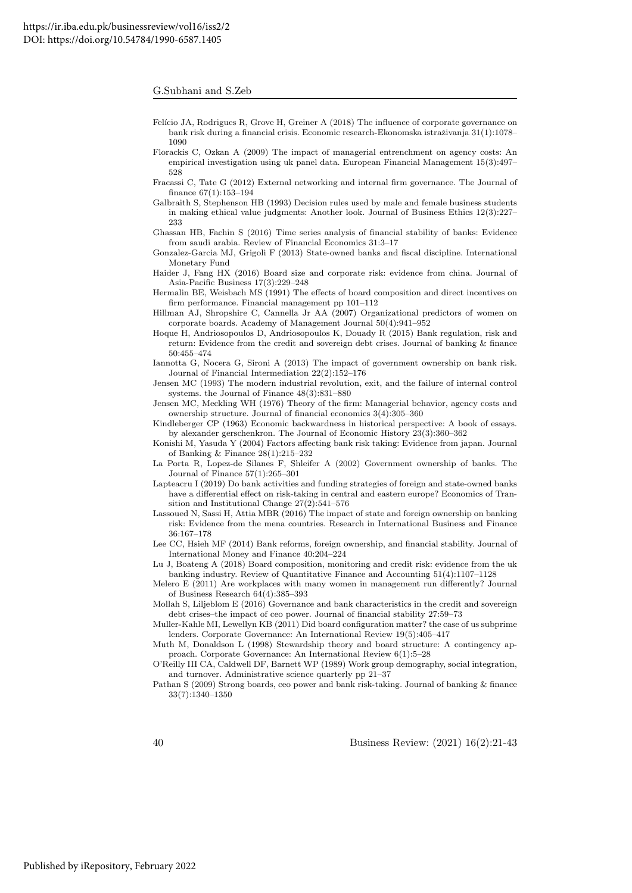- <span id="page-21-3"></span>Felício JA, Rodrigues R, Grove H, Greiner A (2018) The influence of corporate governance on bank risk during a financial crisis. Economic research-Ekonomska istraživanja  $31(1):1078-$ 1090
- <span id="page-21-21"></span>Florackis C, Ozkan A (2009) The impact of managerial entrenchment on agency costs: An empirical investigation using uk panel data. European Financial Management 15(3):497– 528
- <span id="page-21-12"></span>Fracassi C, Tate G (2012) External networking and internal firm governance. The Journal of finance 67(1):153–194
- <span id="page-21-13"></span>Galbraith S, Stephenson HB (1993) Decision rules used by male and female business students in making ethical value judgments: Another look. Journal of Business Ethics 12(3):227– 233
- <span id="page-21-4"></span>Ghassan HB, Fachin S (2016) Time series analysis of financial stability of banks: Evidence from saudi arabia. Review of Financial Economics 31:3–17
- <span id="page-21-20"></span>Gonzalez-Garcia MJ, Grigoli F (2013) State-owned banks and fiscal discipline. International Monetary Fund
- <span id="page-21-10"></span>Haider J, Fang HX (2016) Board size and corporate risk: evidence from china. Journal of Asia-Pacific Business 17(3):229–248
- <span id="page-21-23"></span>Hermalin BE, Weisbach MS (1991) The effects of board composition and direct incentives on firm performance. Financial management pp 101–112
- <span id="page-21-14"></span>Hillman AJ, Shropshire C, Cannella Jr AA (2007) Organizational predictors of women on corporate boards. Academy of Management Journal 50(4):941–952
- <span id="page-21-0"></span>Hoque H, Andriosopoulos D, Andriosopoulos K, Douady R (2015) Bank regulation, risk and return: Evidence from the credit and sovereign debt crises. Journal of banking & finance 50:455–474
- <span id="page-21-19"></span>Iannotta G, Nocera G, Sironi A (2013) The impact of government ownership on bank risk. Journal of Financial Intermediation 22(2):152–176
- <span id="page-21-5"></span>Jensen MC (1993) The modern industrial revolution, exit, and the failure of internal control systems. the Journal of Finance 48(3):831–880
- <span id="page-21-11"></span>Jensen MC, Meckling WH (1976) Theory of the firm: Managerial behavior, agency costs and ownership structure. Journal of financial economics 3(4):305–360
- <span id="page-21-17"></span>Kindleberger CP (1963) Economic backwardness in historical perspective: A book of essays. by alexander gerschenkron. The Journal of Economic History 23(3):360–362
- <span id="page-21-22"></span>Konishi M, Yasuda Y (2004) Factors affecting bank risk taking: Evidence from japan. Journal of Banking & Finance 28(1):215–232
- <span id="page-21-18"></span>La Porta R, Lopez-de Silanes F, Shleifer A (2002) Government ownership of banks. The Journal of Finance 57(1):265–301
- <span id="page-21-16"></span>Lapteacru I (2019) Do bank activities and funding strategies of foreign and state-owned banks have a differential effect on risk-taking in central and eastern europe? Economics of Transition and Institutional Change 27(2):541–576
- <span id="page-21-2"></span>Lassoued N, Sassi H, Attia MBR (2016) The impact of state and foreign ownership on banking risk: Evidence from the mena countries. Research in International Business and Finance 36:167–178
- <span id="page-21-25"></span>Lee CC, Hsieh MF (2014) Bank reforms, foreign ownership, and financial stability. Journal of International Money and Finance 40:204–224
- <span id="page-21-9"></span>Lu J, Boateng A (2018) Board composition, monitoring and credit risk: evidence from the uk banking industry. Review of Quantitative Finance and Accounting 51(4):1107–1128
- <span id="page-21-15"></span>Melero E (2011) Are workplaces with many women in management run differently? Journal of Business Research 64(4):385–393
- <span id="page-21-1"></span>Mollah S, Liljeblom E (2016) Governance and bank characteristics in the credit and sovereign debt crises–the impact of ceo power. Journal of financial stability 27:59–73
- <span id="page-21-24"></span>Muller-Kahle MI, Lewellyn KB (2011) Did board configuration matter? the case of us subprime lenders. Corporate Governance: An International Review 19(5):405–417
- <span id="page-21-6"></span>Muth M, Donaldson L (1998) Stewardship theory and board structure: A contingency approach. Corporate Governance: An International Review 6(1):5–28
- <span id="page-21-7"></span>O'Reilly III CA, Caldwell DF, Barnett WP (1989) Work group demography, social integration, and turnover. Administrative science quarterly pp 21–37

<span id="page-21-8"></span>Pathan S (2009) Strong boards, ceo power and bank risk-taking. Journal of banking & finance 33(7):1340–1350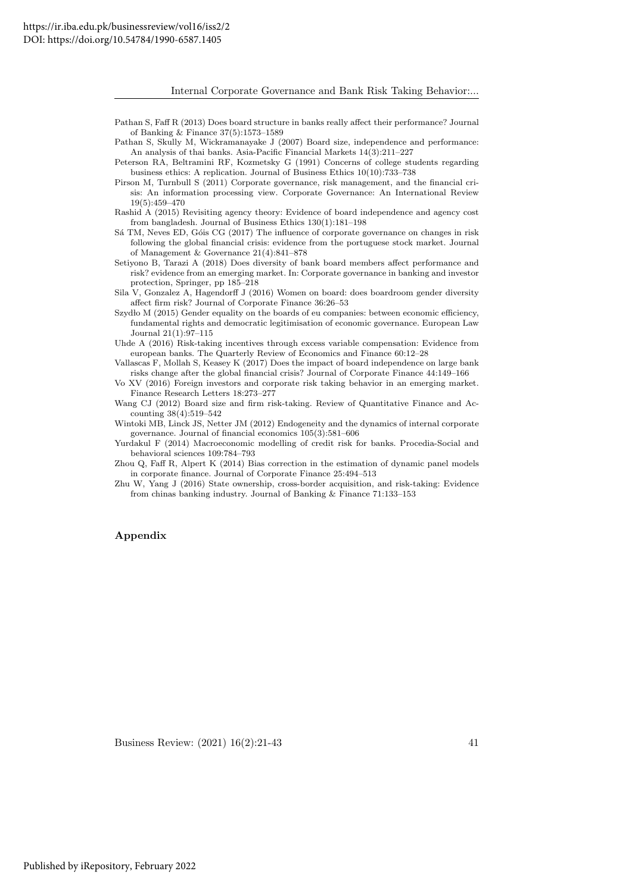<span id="page-22-12"></span>Pathan S, Faff R (2013) Does board structure in banks really affect their performance? Journal of Banking & Finance 37(5):1573–1589

<span id="page-22-3"></span>Pathan S, Skully M, Wickramanayake J (2007) Board size, independence and performance: An analysis of thai banks. Asia-Pacific Financial Markets 14(3):211–227

<span id="page-22-5"></span>Peterson RA, Beltramini RF, Kozmetsky G (1991) Concerns of college students regarding business ethics: A replication. Journal of Business Ethics 10(10):733–738

- <span id="page-22-13"></span>Pirson M, Turnbull S (2011) Corporate governance, risk management, and the financial crisis: An information processing view. Corporate Governance: An International Review 19(5):459–470
- <span id="page-22-4"></span>Rashid A (2015) Revisiting agency theory: Evidence of board independence and agency cost from bangladesh. Journal of Business Ethics 130(1):181–198
- <span id="page-22-14"></span>Sá TM, Neves ED, Góis CG (2017) The influence of corporate governance on changes in risk following the global financial crisis: evidence from the portuguese stock market. Journal of Management & Governance 21(4):841–878
- <span id="page-22-1"></span>Setiyono B, Tarazi A (2018) Does diversity of bank board members affect performance and risk? evidence from an emerging market. In: Corporate governance in banking and investor protection, Springer, pp 185–218

<span id="page-22-15"></span>Sila V, Gonzalez A, Hagendorff J (2016) Women on board: does boardroom gender diversity affect firm risk? Journal of Corporate Finance 36:26–53

- <span id="page-22-6"></span>Szydło M (2015) Gender equality on the boards of eu companies: between economic efficiency, fundamental rights and democratic legitimisation of economic governance. European Law Journal 21(1):97–115
- <span id="page-22-9"></span>Uhde A (2016) Risk-taking incentives through excess variable compensation: Evidence from european banks. The Quarterly Review of Economics and Finance 60:12–28
- <span id="page-22-0"></span>Vallascas F, Mollah S, Keasey K (2017) Does the impact of board independence on large bank risks change after the global financial crisis? Journal of Corporate Finance 44:149–166

<span id="page-22-7"></span>Vo XV (2016) Foreign investors and corporate risk taking behavior in an emerging market. Finance Research Letters 18:273–277

<span id="page-22-2"></span>Wang CJ (2012) Board size and firm risk-taking. Review of Quantitative Finance and Accounting 38(4):519–542

<span id="page-22-10"></span>Wintoki MB, Linck JS, Netter JM (2012) Endogeneity and the dynamics of internal corporate governance. Journal of financial economics 105(3):581–606

<span id="page-22-16"></span>Yurdakul F (2014) Macroeconomic modelling of credit risk for banks. Procedia-Social and behavioral sciences 109:784–793

<span id="page-22-11"></span>Zhou Q, Faff R, Alpert K (2014) Bias correction in the estimation of dynamic panel models in corporate finance. Journal of Corporate Finance 25:494–513

<span id="page-22-8"></span>Zhu W, Yang J (2016) State ownership, cross-border acquisition, and risk-taking: Evidence from chinas banking industry. Journal of Banking & Finance 71:133–153

### Appendix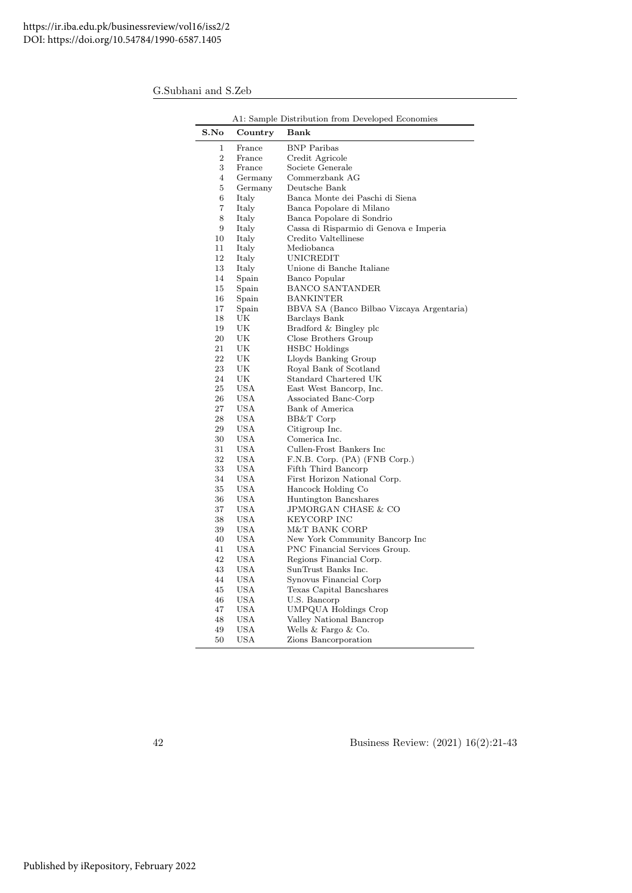|                |            | A1: Sample Distribution from Developed Economies |
|----------------|------------|--------------------------------------------------|
| S.No           | Country    | Bank                                             |
| 1              | France     | <b>BNP</b> Paribas                               |
| $\overline{2}$ | France     | Credit Agricole                                  |
| 3              | France     | Societe Generale                                 |
| $\overline{4}$ | Germany    | Commerzbank AG                                   |
| 5              | Germany    | Deutsche Bank                                    |
| 6              | Italy      | Banca Monte dei Paschi di Siena                  |
| 7              | Italy      | Banca Popolare di Milano                         |
| 8              | Italy      | Banca Popolare di Sondrio                        |
| 9              | Italy      | Cassa di Risparmio di Genova e Imperia           |
| 10             | Italy      | Credito Valtellinese                             |
| 11             | Italy      | Mediobanca                                       |
| 12             | Italy      | UNICREDIT                                        |
| 13             | Italy      | Unione di Banche Italiane                        |
| 14             | Spain      | Banco Popular                                    |
| 15             | Spain      | <b>BANCO SANTANDER</b>                           |
| 16             | Spain      | <b>BANKINTER</b>                                 |
| 17             | Spain      | BBVA SA (Banco Bilbao Vizcaya Argentaria)        |
| 18             | UK         | Barclays Bank                                    |
| 19             | UK         | Bradford & Bingley plc                           |
| 20             | UK         | Close Brothers Group                             |
| 21             | UK         | HSBC Holdings                                    |
| 22             | UK         | Lloyds Banking Group                             |
| 23             | UK         | Royal Bank of Scotland                           |
| 24             | UK         | Standard Chartered UK                            |
| 25             | USA        | East West Bancorp, Inc.                          |
| 26             | <b>USA</b> | Associated Banc-Corp                             |
| 27             | USA        | Bank of America                                  |
| 28             | USA        |                                                  |
| 29             | USA        | BB&T Corp                                        |
|                |            | Citigroup Inc.<br>Comerica Inc.                  |
| 30             | USA        |                                                  |
| 31             | <b>USA</b> | Cullen-Frost Bankers Inc                         |
| 32             | USA        | F.N.B. Corp. (PA) (FNB Corp.)                    |
| 33             | USA        | Fifth Third Bancorp                              |
| 34             | USA        | First Horizon National Corp.                     |
| 35             | USA        | Hancock Holding Co                               |
| 36             | USA        | Huntington Bancshares                            |
| 37             | USA        | JPMORGAN CHASE & CO                              |
| 38             | USA        | KEYCORP INC                                      |
| 39             | USA        | M&T BANK CORP                                    |
| 40             | USA        | New York Community Bancorp Inc                   |
| 41             | USA        | PNC Financial Services Group.                    |
| 42             | <b>USA</b> | Regions Financial Corp.                          |
| 43             | USA        | SunTrust Banks Inc.                              |
| 44             | USA        | Synovus Financial Corp                           |
| 45             | USA        | Texas Capital Bancshares                         |
| 46             | USA        | U.S. Bancorp                                     |
| 47             | <b>USA</b> | UMPQUA Holdings Crop                             |
| 48             | USA        | Valley National Bancrop                          |
| 49             | USA        | Wells & Fargo & Co.                              |
| 50             | USA        | Zions Bancorporation                             |